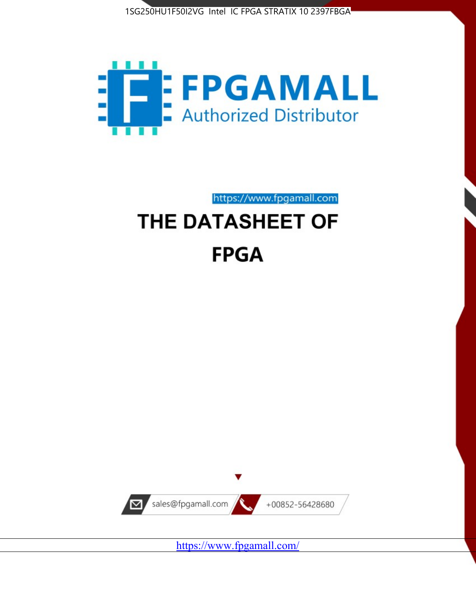



https://www.fpgamall.com

# THE DATASHEET OF **FPGA**



<https://www.fpgamall.com/>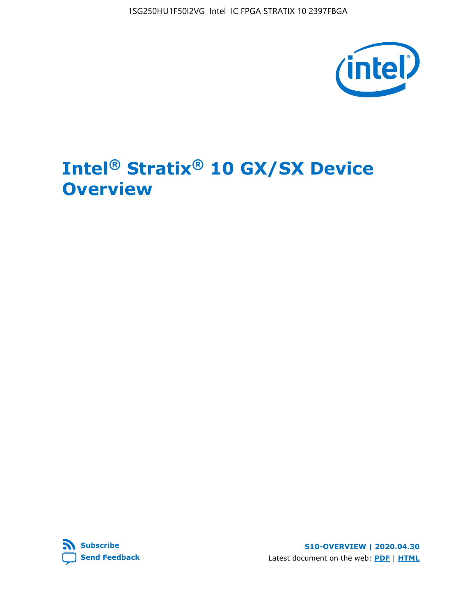1SG250HU1F50I2VG Intel IC FPGA STRATIX 10 2397FBGA



# **Intel® Stratix® 10 GX/SX Device Overview**



**S10-OVERVIEW | 2020.04.30** Latest document on the web: **[PDF](https://www.intel.com/content/dam/www/programmable/us/en/pdfs/literature/hb/stratix-10/s10-overview.pdf)** | **[HTML](https://www.intel.com/content/www/us/en/programmable/documentation/joc1442261161666.html)**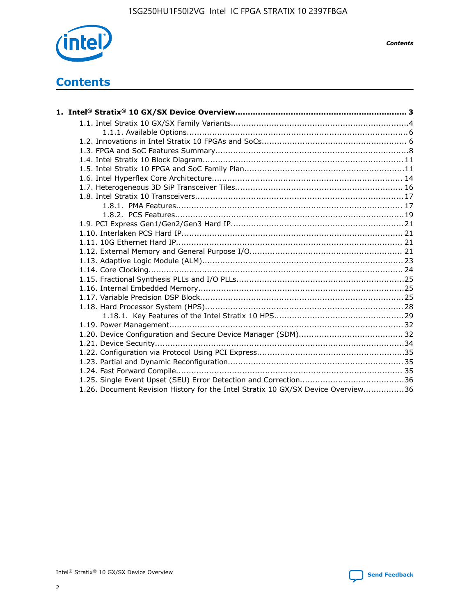

*Contents*

# **Contents**

| 1.26. Document Revision History for the Intel Stratix 10 GX/SX Device Overview36 |  |
|----------------------------------------------------------------------------------|--|

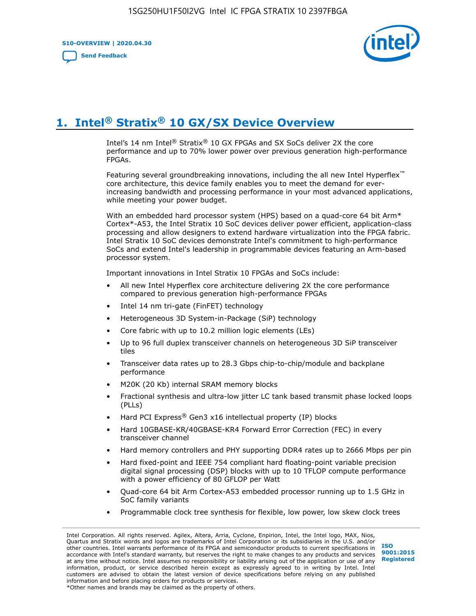**S10-OVERVIEW | 2020.04.30**

**[Send Feedback](mailto:FPGAtechdocfeedback@intel.com?subject=Feedback%20on%20Intel%20Stratix%2010%20GX/SX%20Device%20Overview%20(S10-OVERVIEW%202020.04.30)&body=We%20appreciate%20your%20feedback.%20In%20your%20comments,%20also%20specify%20the%20page%20number%20or%20paragraph.%20Thank%20you.)**



# **1. Intel® Stratix® 10 GX/SX Device Overview**

Intel's 14 nm Intel® Stratix® 10 GX FPGAs and SX SoCs deliver 2X the core performance and up to 70% lower power over previous generation high-performance FPGAs.

Featuring several groundbreaking innovations, including the all new Intel Hyperflex™ core architecture, this device family enables you to meet the demand for everincreasing bandwidth and processing performance in your most advanced applications, while meeting your power budget.

With an embedded hard processor system (HPS) based on a quad-core 64 bit Arm\* Cortex\*-A53, the Intel Stratix 10 SoC devices deliver power efficient, application-class processing and allow designers to extend hardware virtualization into the FPGA fabric. Intel Stratix 10 SoC devices demonstrate Intel's commitment to high-performance SoCs and extend Intel's leadership in programmable devices featuring an Arm-based processor system.

Important innovations in Intel Stratix 10 FPGAs and SoCs include:

- All new Intel Hyperflex core architecture delivering 2X the core performance compared to previous generation high-performance FPGAs
- Intel 14 nm tri-gate (FinFET) technology
- Heterogeneous 3D System-in-Package (SiP) technology
- Core fabric with up to 10.2 million logic elements (LEs)
- Up to 96 full duplex transceiver channels on heterogeneous 3D SiP transceiver tiles
- Transceiver data rates up to 28.3 Gbps chip-to-chip/module and backplane performance
- M20K (20 Kb) internal SRAM memory blocks
- Fractional synthesis and ultra-low jitter LC tank based transmit phase locked loops (PLLs)
- Hard PCI Express<sup>®</sup> Gen3 x16 intellectual property (IP) blocks
- Hard 10GBASE-KR/40GBASE-KR4 Forward Error Correction (FEC) in every transceiver channel
- Hard memory controllers and PHY supporting DDR4 rates up to 2666 Mbps per pin
- Hard fixed-point and IEEE 754 compliant hard floating-point variable precision digital signal processing (DSP) blocks with up to 10 TFLOP compute performance with a power efficiency of 80 GFLOP per Watt
- Quad-core 64 bit Arm Cortex-A53 embedded processor running up to 1.5 GHz in SoC family variants
- Programmable clock tree synthesis for flexible, low power, low skew clock trees

Intel Corporation. All rights reserved. Agilex, Altera, Arria, Cyclone, Enpirion, Intel, the Intel logo, MAX, Nios, Quartus and Stratix words and logos are trademarks of Intel Corporation or its subsidiaries in the U.S. and/or other countries. Intel warrants performance of its FPGA and semiconductor products to current specifications in accordance with Intel's standard warranty, but reserves the right to make changes to any products and services at any time without notice. Intel assumes no responsibility or liability arising out of the application or use of any information, product, or service described herein except as expressly agreed to in writing by Intel. Intel customers are advised to obtain the latest version of device specifications before relying on any published information and before placing orders for products or services. \*Other names and brands may be claimed as the property of others.

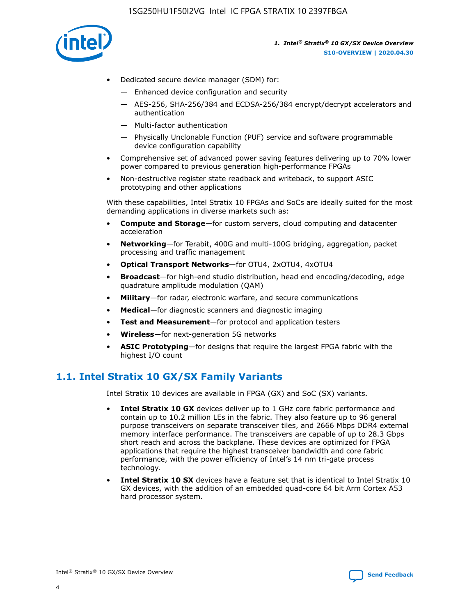

- Dedicated secure device manager (SDM) for:
	- Enhanced device configuration and security
	- AES-256, SHA-256/384 and ECDSA-256/384 encrypt/decrypt accelerators and authentication
	- Multi-factor authentication
	- Physically Unclonable Function (PUF) service and software programmable device configuration capability
- Comprehensive set of advanced power saving features delivering up to 70% lower power compared to previous generation high-performance FPGAs
- Non-destructive register state readback and writeback, to support ASIC prototyping and other applications

With these capabilities, Intel Stratix 10 FPGAs and SoCs are ideally suited for the most demanding applications in diverse markets such as:

- **Compute and Storage**—for custom servers, cloud computing and datacenter acceleration
- **Networking**—for Terabit, 400G and multi-100G bridging, aggregation, packet processing and traffic management
- **Optical Transport Networks**—for OTU4, 2xOTU4, 4xOTU4
- **Broadcast**—for high-end studio distribution, head end encoding/decoding, edge quadrature amplitude modulation (QAM)
- **Military**—for radar, electronic warfare, and secure communications
- **Medical**—for diagnostic scanners and diagnostic imaging
- **Test and Measurement**—for protocol and application testers
- **Wireless**—for next-generation 5G networks
- **ASIC Prototyping**—for designs that require the largest FPGA fabric with the highest I/O count

## **1.1. Intel Stratix 10 GX/SX Family Variants**

Intel Stratix 10 devices are available in FPGA (GX) and SoC (SX) variants.

- **Intel Stratix 10 GX** devices deliver up to 1 GHz core fabric performance and contain up to 10.2 million LEs in the fabric. They also feature up to 96 general purpose transceivers on separate transceiver tiles, and 2666 Mbps DDR4 external memory interface performance. The transceivers are capable of up to 28.3 Gbps short reach and across the backplane. These devices are optimized for FPGA applications that require the highest transceiver bandwidth and core fabric performance, with the power efficiency of Intel's 14 nm tri-gate process technology.
- **Intel Stratix 10 SX** devices have a feature set that is identical to Intel Stratix 10 GX devices, with the addition of an embedded quad-core 64 bit Arm Cortex A53 hard processor system.

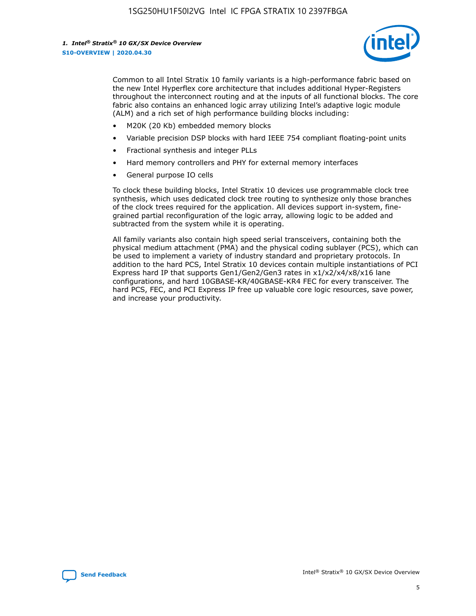

Common to all Intel Stratix 10 family variants is a high-performance fabric based on the new Intel Hyperflex core architecture that includes additional Hyper-Registers throughout the interconnect routing and at the inputs of all functional blocks. The core fabric also contains an enhanced logic array utilizing Intel's adaptive logic module (ALM) and a rich set of high performance building blocks including:

- M20K (20 Kb) embedded memory blocks
- Variable precision DSP blocks with hard IEEE 754 compliant floating-point units
- Fractional synthesis and integer PLLs
- Hard memory controllers and PHY for external memory interfaces
- General purpose IO cells

To clock these building blocks, Intel Stratix 10 devices use programmable clock tree synthesis, which uses dedicated clock tree routing to synthesize only those branches of the clock trees required for the application. All devices support in-system, finegrained partial reconfiguration of the logic array, allowing logic to be added and subtracted from the system while it is operating.

All family variants also contain high speed serial transceivers, containing both the physical medium attachment (PMA) and the physical coding sublayer (PCS), which can be used to implement a variety of industry standard and proprietary protocols. In addition to the hard PCS, Intel Stratix 10 devices contain multiple instantiations of PCI Express hard IP that supports Gen1/Gen2/Gen3 rates in x1/x2/x4/x8/x16 lane configurations, and hard 10GBASE-KR/40GBASE-KR4 FEC for every transceiver. The hard PCS, FEC, and PCI Express IP free up valuable core logic resources, save power, and increase your productivity.

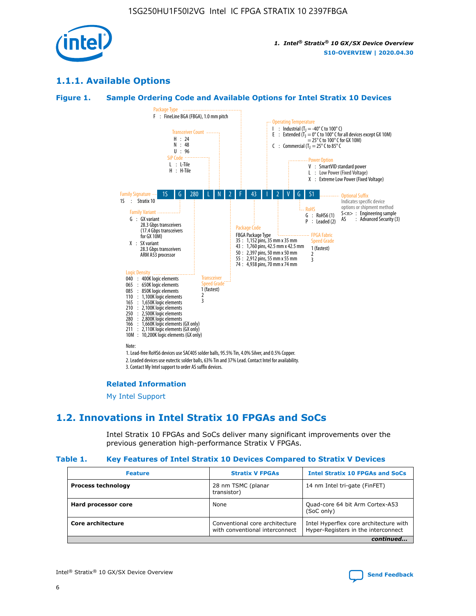

## **1.1.1. Available Options**

#### **Figure 1. Sample Ordering Code and Available Options for Intel Stratix 10 Devices**



## **Related Information**

[My Intel Support](https://www.intel.com/content/www/us/en/programmable/my-intel/mal-home.html)

## **1.2. Innovations in Intel Stratix 10 FPGAs and SoCs**

Intel Stratix 10 FPGAs and SoCs deliver many significant improvements over the previous generation high-performance Stratix V FPGAs.

#### **Table 1. Key Features of Intel Stratix 10 Devices Compared to Stratix V Devices**

| <b>Feature</b>            | <b>Stratix V FPGAs</b>                                           | <b>Intel Stratix 10 FPGAs and SoCs</b>                                        |
|---------------------------|------------------------------------------------------------------|-------------------------------------------------------------------------------|
| <b>Process technology</b> | 28 nm TSMC (planar<br>transistor)                                | 14 nm Intel tri-gate (FinFET)                                                 |
| Hard processor core       | None                                                             | Quad-core 64 bit Arm Cortex-A53<br>(SoC only)                                 |
| Core architecture         | Conventional core architecture<br>with conventional interconnect | Intel Hyperflex core architecture with<br>Hyper-Registers in the interconnect |
|                           |                                                                  | continued                                                                     |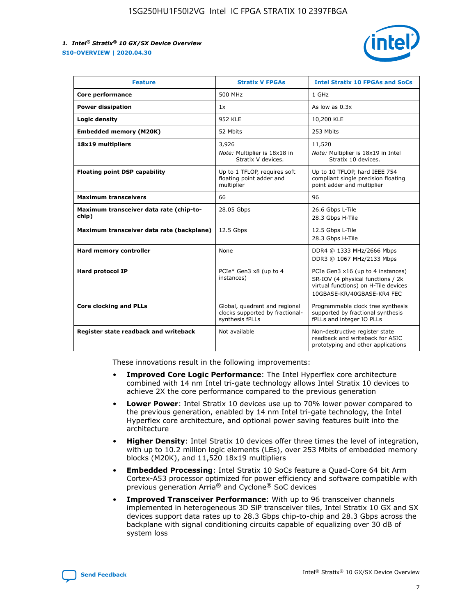

| <b>Feature</b>                                   | <b>Stratix V FPGAs</b>                                                              | <b>Intel Stratix 10 FPGAs and SoCs</b>                                                                                                       |
|--------------------------------------------------|-------------------------------------------------------------------------------------|----------------------------------------------------------------------------------------------------------------------------------------------|
| Core performance                                 | 500 MHz                                                                             | 1 GHz                                                                                                                                        |
| <b>Power dissipation</b>                         | 1x                                                                                  | As low as $0.3x$                                                                                                                             |
| Logic density                                    | <b>952 KLE</b>                                                                      | 10,200 KLE                                                                                                                                   |
| <b>Embedded memory (M20K)</b>                    | 52 Mbits                                                                            | 253 Mbits                                                                                                                                    |
| 18x19 multipliers                                | 3,926                                                                               | 11,520                                                                                                                                       |
|                                                  | Note: Multiplier is 18x18 in<br>Stratix V devices.                                  | Note: Multiplier is 18x19 in Intel<br>Stratix 10 devices.                                                                                    |
| <b>Floating point DSP capability</b>             | Up to 1 TFLOP, requires soft<br>floating point adder and<br>multiplier              | Up to 10 TFLOP, hard IEEE 754<br>compliant single precision floating<br>point adder and multiplier                                           |
| <b>Maximum transceivers</b>                      | 66                                                                                  | 96                                                                                                                                           |
| Maximum transceiver data rate (chip-to-<br>chip) | 28.05 Gbps                                                                          | 26.6 Gbps L-Tile<br>28.3 Gbps H-Tile                                                                                                         |
| Maximum transceiver data rate (backplane)        | 12.5 Gbps                                                                           | 12.5 Gbps L-Tile<br>28.3 Gbps H-Tile                                                                                                         |
| Hard memory controller                           | None                                                                                | DDR4 @ 1333 MHz/2666 Mbps<br>DDR3 @ 1067 MHz/2133 Mbps                                                                                       |
| Hard protocol IP                                 | PCIe* Gen3 x8 (up to 4<br>instances)                                                | PCIe Gen3 x16 (up to 4 instances)<br>SR-IOV (4 physical functions / 2k<br>virtual functions) on H-Tile devices<br>10GBASE-KR/40GBASE-KR4 FEC |
| <b>Core clocking and PLLs</b>                    | Global, quadrant and regional<br>clocks supported by fractional-<br>synthesis fPLLs | Programmable clock tree synthesis<br>supported by fractional synthesis<br>fPLLs and integer IO PLLs                                          |
| Register state readback and writeback            | Not available                                                                       | Non-destructive register state<br>readback and writeback for ASIC<br>prototyping and other applications                                      |

These innovations result in the following improvements:

- **Improved Core Logic Performance**: The Intel Hyperflex core architecture combined with 14 nm Intel tri-gate technology allows Intel Stratix 10 devices to achieve 2X the core performance compared to the previous generation
- **Lower Power**: Intel Stratix 10 devices use up to 70% lower power compared to the previous generation, enabled by 14 nm Intel tri-gate technology, the Intel Hyperflex core architecture, and optional power saving features built into the architecture
- **Higher Density**: Intel Stratix 10 devices offer three times the level of integration, with up to 10.2 million logic elements (LEs), over 253 Mbits of embedded memory blocks (M20K), and 11,520 18x19 multipliers
- **Embedded Processing**: Intel Stratix 10 SoCs feature a Quad-Core 64 bit Arm Cortex-A53 processor optimized for power efficiency and software compatible with previous generation Arria® and Cyclone® SoC devices
- **Improved Transceiver Performance**: With up to 96 transceiver channels implemented in heterogeneous 3D SiP transceiver tiles, Intel Stratix 10 GX and SX devices support data rates up to 28.3 Gbps chip-to-chip and 28.3 Gbps across the backplane with signal conditioning circuits capable of equalizing over 30 dB of system loss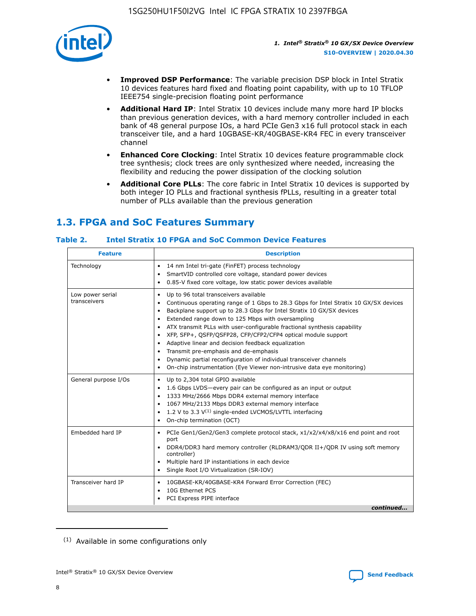

- **Improved DSP Performance**: The variable precision DSP block in Intel Stratix 10 devices features hard fixed and floating point capability, with up to 10 TFLOP IEEE754 single-precision floating point performance
- **Additional Hard IP**: Intel Stratix 10 devices include many more hard IP blocks than previous generation devices, with a hard memory controller included in each bank of 48 general purpose IOs, a hard PCIe Gen3 x16 full protocol stack in each transceiver tile, and a hard 10GBASE-KR/40GBASE-KR4 FEC in every transceiver channel
- **Enhanced Core Clocking**: Intel Stratix 10 devices feature programmable clock tree synthesis; clock trees are only synthesized where needed, increasing the flexibility and reducing the power dissipation of the clocking solution
- **Additional Core PLLs**: The core fabric in Intel Stratix 10 devices is supported by both integer IO PLLs and fractional synthesis fPLLs, resulting in a greater total number of PLLs available than the previous generation

## **1.3. FPGA and SoC Features Summary**

## **Table 2. Intel Stratix 10 FPGA and SoC Common Device Features**

| <b>Feature</b>                   | <b>Description</b>                                                                                                                                                                                                                                                                                                                                                                                                                                                                                                                                                                                                                                                                                                                                   |
|----------------------------------|------------------------------------------------------------------------------------------------------------------------------------------------------------------------------------------------------------------------------------------------------------------------------------------------------------------------------------------------------------------------------------------------------------------------------------------------------------------------------------------------------------------------------------------------------------------------------------------------------------------------------------------------------------------------------------------------------------------------------------------------------|
| Technology                       | 14 nm Intel tri-gate (FinFET) process technology<br>٠<br>SmartVID controlled core voltage, standard power devices<br>0.85-V fixed core voltage, low static power devices available                                                                                                                                                                                                                                                                                                                                                                                                                                                                                                                                                                   |
| Low power serial<br>transceivers | Up to 96 total transceivers available<br>$\bullet$<br>Continuous operating range of 1 Gbps to 28.3 Gbps for Intel Stratix 10 GX/SX devices<br>$\bullet$<br>Backplane support up to 28.3 Gbps for Intel Stratix 10 GX/SX devices<br>$\bullet$<br>Extended range down to 125 Mbps with oversampling<br>$\bullet$<br>ATX transmit PLLs with user-configurable fractional synthesis capability<br>$\bullet$<br>• XFP, SFP+, OSFP/OSFP28, CFP/CFP2/CFP4 optical module support<br>• Adaptive linear and decision feedback equalization<br>Transmit pre-emphasis and de-emphasis<br>Dynamic partial reconfiguration of individual transceiver channels<br>$\bullet$<br>On-chip instrumentation (Eye Viewer non-intrusive data eye monitoring)<br>$\bullet$ |
| General purpose I/Os             | Up to 2,304 total GPIO available<br>$\bullet$<br>1.6 Gbps LVDS-every pair can be configured as an input or output<br>$\bullet$<br>1333 MHz/2666 Mbps DDR4 external memory interface<br>1067 MHz/2133 Mbps DDR3 external memory interface<br>1.2 V to 3.3 $V^{(1)}$ single-ended LVCMOS/LVTTL interfacing<br>$\bullet$<br>On-chip termination (OCT)<br>$\bullet$                                                                                                                                                                                                                                                                                                                                                                                      |
| Embedded hard IP                 | • PCIe Gen1/Gen2/Gen3 complete protocol stack, $x1/x2/x4/x8/x16$ end point and root<br>port<br>DDR4/DDR3 hard memory controller (RLDRAM3/QDR II+/QDR IV using soft memory<br>controller)<br>Multiple hard IP instantiations in each device<br>$\bullet$<br>• Single Root I/O Virtualization (SR-IOV)                                                                                                                                                                                                                                                                                                                                                                                                                                                 |
| Transceiver hard IP              | 10GBASE-KR/40GBASE-KR4 Forward Error Correction (FEC)<br>$\bullet$<br>10G Ethernet PCS<br>$\bullet$<br>• PCI Express PIPE interface<br>continued                                                                                                                                                                                                                                                                                                                                                                                                                                                                                                                                                                                                     |

<sup>(1)</sup> Available in some configurations only

8

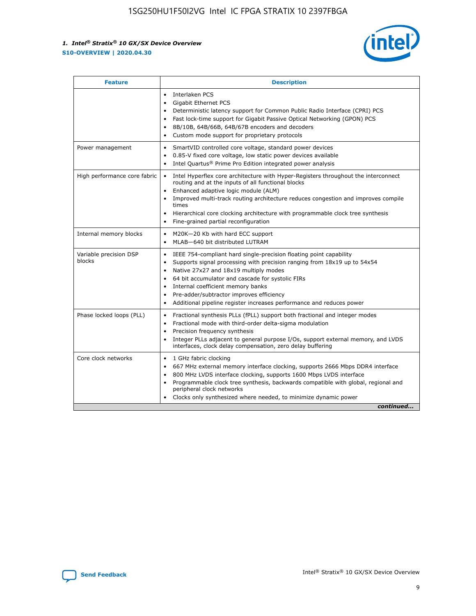

| <b>Feature</b>                   | <b>Description</b>                                                                                                                                                                                                                                                                                                                                                                                                                            |
|----------------------------------|-----------------------------------------------------------------------------------------------------------------------------------------------------------------------------------------------------------------------------------------------------------------------------------------------------------------------------------------------------------------------------------------------------------------------------------------------|
|                                  | Interlaken PCS<br>$\bullet$<br>Gigabit Ethernet PCS<br>$\bullet$<br>Deterministic latency support for Common Public Radio Interface (CPRI) PCS<br>$\bullet$<br>Fast lock-time support for Gigabit Passive Optical Networking (GPON) PCS<br>$\bullet$<br>8B/10B, 64B/66B, 64B/67B encoders and decoders<br>Custom mode support for proprietary protocols                                                                                       |
| Power management                 | SmartVID controlled core voltage, standard power devices<br>$\bullet$<br>0.85-V fixed core voltage, low static power devices available<br>$\bullet$<br>Intel Quartus <sup>®</sup> Prime Pro Edition integrated power analysis                                                                                                                                                                                                                 |
| High performance core fabric     | Intel Hyperflex core architecture with Hyper-Registers throughout the interconnect<br>routing and at the inputs of all functional blocks<br>Enhanced adaptive logic module (ALM)<br>Improved multi-track routing architecture reduces congestion and improves compile<br>times<br>Hierarchical core clocking architecture with programmable clock tree synthesis<br>Fine-grained partial reconfiguration                                      |
| Internal memory blocks           | M20K-20 Kb with hard ECC support<br>MLAB-640 bit distributed LUTRAM                                                                                                                                                                                                                                                                                                                                                                           |
| Variable precision DSP<br>blocks | IEEE 754-compliant hard single-precision floating point capability<br>$\bullet$<br>Supports signal processing with precision ranging from 18x19 up to 54x54<br>$\bullet$<br>Native 27x27 and 18x19 multiply modes<br>٠<br>64 bit accumulator and cascade for systolic FIRs<br>Internal coefficient memory banks<br>Pre-adder/subtractor improves efficiency<br>٠<br>Additional pipeline register increases performance and reduces power<br>٠ |
| Phase locked loops (PLL)         | Fractional synthesis PLLs (fPLL) support both fractional and integer modes<br>$\bullet$<br>Fractional mode with third-order delta-sigma modulation<br>Precision frequency synthesis<br>٠<br>Integer PLLs adjacent to general purpose I/Os, support external memory, and LVDS<br>٠<br>interfaces, clock delay compensation, zero delay buffering                                                                                               |
| Core clock networks              | 1 GHz fabric clocking<br>٠<br>667 MHz external memory interface clocking, supports 2666 Mbps DDR4 interface<br>800 MHz LVDS interface clocking, supports 1600 Mbps LVDS interface<br>$\bullet$<br>Programmable clock tree synthesis, backwards compatible with global, regional and<br>$\bullet$<br>peripheral clock networks<br>Clocks only synthesized where needed, to minimize dynamic power<br>continued                                 |

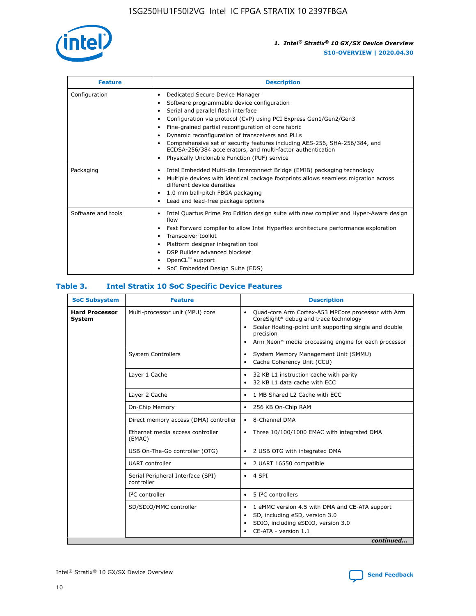

| <b>Feature</b>     | <b>Description</b>                                                                                                                                                                                                                                                                                                                                                                                                                                                                                               |
|--------------------|------------------------------------------------------------------------------------------------------------------------------------------------------------------------------------------------------------------------------------------------------------------------------------------------------------------------------------------------------------------------------------------------------------------------------------------------------------------------------------------------------------------|
| Configuration      | Dedicated Secure Device Manager<br>٠<br>Software programmable device configuration<br>Serial and parallel flash interface<br>٠<br>Configuration via protocol (CvP) using PCI Express Gen1/Gen2/Gen3<br>Fine-grained partial reconfiguration of core fabric<br>Dynamic reconfiguration of transceivers and PLLs<br>٠<br>Comprehensive set of security features including AES-256, SHA-256/384, and<br>ECDSA-256/384 accelerators, and multi-factor authentication<br>Physically Unclonable Function (PUF) service |
| Packaging          | Intel Embedded Multi-die Interconnect Bridge (EMIB) packaging technology<br>٠<br>Multiple devices with identical package footprints allows seamless migration across<br>$\bullet$<br>different device densities<br>1.0 mm ball-pitch FBGA packaging<br>Lead and lead-free package options                                                                                                                                                                                                                        |
| Software and tools | Intel Quartus Prime Pro Edition design suite with new compiler and Hyper-Aware design<br>flow<br>Fast Forward compiler to allow Intel Hyperflex architecture performance exploration<br>٠<br>Transceiver toolkit<br>Platform designer integration tool<br>DSP Builder advanced blockset<br>OpenCL <sup>™</sup> support<br>SoC Embedded Design Suite (EDS)                                                                                                                                                        |

## **Table 3. Intel Stratix 10 SoC Specific Device Features**

| <b>SoC Subsystem</b>            | <b>Feature</b>                                  | <b>Description</b>                                                                                                                                                                                                                                         |  |  |
|---------------------------------|-------------------------------------------------|------------------------------------------------------------------------------------------------------------------------------------------------------------------------------------------------------------------------------------------------------------|--|--|
| <b>Hard Processor</b><br>System | Multi-processor unit (MPU) core                 | Quad-core Arm Cortex-A53 MPCore processor with Arm<br>$\bullet$<br>CoreSight* debug and trace technology<br>Scalar floating-point unit supporting single and double<br>٠<br>precision<br>Arm Neon* media processing engine for each processor<br>$\bullet$ |  |  |
|                                 | <b>System Controllers</b>                       | System Memory Management Unit (SMMU)<br>$\bullet$<br>Cache Coherency Unit (CCU)<br>$\bullet$                                                                                                                                                               |  |  |
|                                 | Layer 1 Cache                                   | 32 KB L1 instruction cache with parity<br>$\bullet$<br>32 KB L1 data cache with ECC<br>$\bullet$                                                                                                                                                           |  |  |
|                                 | Layer 2 Cache                                   | 1 MB Shared L2 Cache with ECC<br>$\bullet$                                                                                                                                                                                                                 |  |  |
|                                 | On-Chip Memory                                  | 256 KB On-Chip RAM<br>$\bullet$                                                                                                                                                                                                                            |  |  |
|                                 | Direct memory access (DMA) controller           | 8-Channel DMA<br>$\bullet$                                                                                                                                                                                                                                 |  |  |
|                                 | Ethernet media access controller<br>(EMAC)      | Three 10/100/1000 EMAC with integrated DMA<br>$\bullet$                                                                                                                                                                                                    |  |  |
|                                 | USB On-The-Go controller (OTG)                  | 2 USB OTG with integrated DMA<br>$\bullet$                                                                                                                                                                                                                 |  |  |
|                                 | <b>UART</b> controller                          | 2 UART 16550 compatible<br>$\bullet$                                                                                                                                                                                                                       |  |  |
|                                 | Serial Peripheral Interface (SPI)<br>controller | 4 SPI<br>$\bullet$                                                                                                                                                                                                                                         |  |  |
|                                 | $I2C$ controller                                | 5 <sup>2</sup> C controllers<br>$\bullet$                                                                                                                                                                                                                  |  |  |
|                                 | SD/SDIO/MMC controller                          | 1 eMMC version 4.5 with DMA and CE-ATA support<br>$\bullet$<br>SD, including eSD, version 3.0<br>$\bullet$<br>SDIO, including eSDIO, version 3.0<br>$\bullet$<br>CE-ATA - version 1.1<br>continued                                                         |  |  |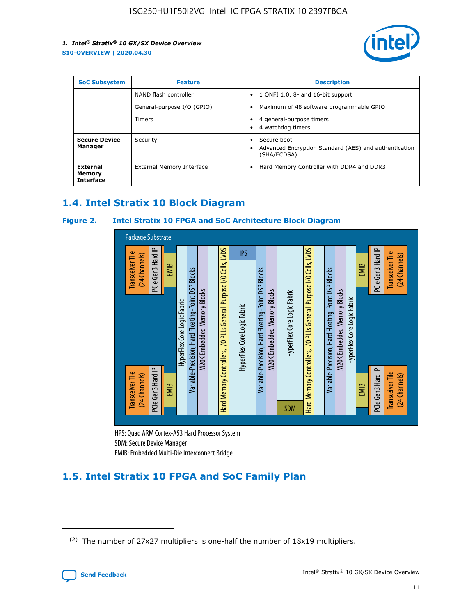

| <b>SoC Subsystem</b>                   | <b>Feature</b>             | <b>Description</b>                                                                                    |
|----------------------------------------|----------------------------|-------------------------------------------------------------------------------------------------------|
|                                        | NAND flash controller      | 1 ONFI 1.0, 8- and 16-bit support<br>$\bullet$                                                        |
|                                        | General-purpose I/O (GPIO) | Maximum of 48 software programmable GPIO<br>$\bullet$                                                 |
|                                        | Timers                     | 4 general-purpose timers<br>4 watchdog timers<br>٠                                                    |
| <b>Secure Device</b><br>Manager        | Security                   | Secure boot<br>$\bullet$<br>Advanced Encryption Standard (AES) and authentication<br>٠<br>(SHA/ECDSA) |
| External<br>Memory<br><b>Interface</b> | External Memory Interface  | Hard Memory Controller with DDR4 and DDR3<br>$\bullet$                                                |

## **1.4. Intel Stratix 10 Block Diagram**

## **Figure 2. Intel Stratix 10 FPGA and SoC Architecture Block Diagram**



HPS: Quad ARM Cortex-A53 Hard Processor System SDM: Secure Device Manager

## **1.5. Intel Stratix 10 FPGA and SoC Family Plan**

<sup>(2)</sup> The number of 27x27 multipliers is one-half the number of 18x19 multipliers.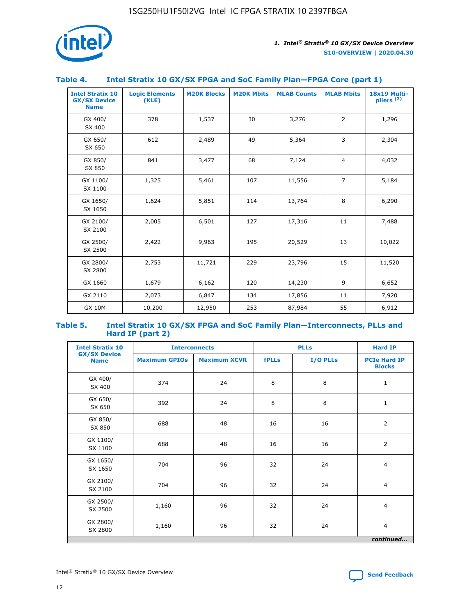

## **Table 4. Intel Stratix 10 GX/SX FPGA and SoC Family Plan—FPGA Core (part 1)**

| <b>Intel Stratix 10</b><br><b>GX/SX Device</b><br><b>Name</b> | <b>Logic Elements</b><br>(KLE) | <b>M20K Blocks</b> | <b>M20K Mbits</b> | <b>MLAB Counts</b> | <b>MLAB Mbits</b> | 18x19 Multi-<br>pliers <sup>(2)</sup> |
|---------------------------------------------------------------|--------------------------------|--------------------|-------------------|--------------------|-------------------|---------------------------------------|
| GX 400/<br>SX 400                                             | 378                            | 1,537              | 30                | 3,276              | $\overline{2}$    | 1,296                                 |
| GX 650/<br>SX 650                                             | 612                            | 2,489              | 49                | 5,364              | 3                 | 2,304                                 |
| GX 850/<br>SX 850                                             | 841                            | 3,477              | 68                | 7,124              | $\overline{4}$    | 4,032                                 |
| GX 1100/<br>SX 1100                                           | 1,325                          | 5,461              | 107               | 11,556             | $\overline{7}$    | 5,184                                 |
| GX 1650/<br>SX 1650                                           | 1,624                          | 5,851              | 114               | 13,764             | 8                 | 6,290                                 |
| GX 2100/<br>SX 2100                                           | 2,005                          | 6,501              | 127               | 17,316             | 11                | 7,488                                 |
| GX 2500/<br>SX 2500                                           | 2,422                          | 9,963              | 195               | 20,529             | 13                | 10,022                                |
| GX 2800/<br>SX 2800                                           | 2,753                          | 11,721             | 229               | 23,796             | 15                | 11,520                                |
| GX 1660                                                       | 1,679                          | 6,162              | 120               | 14,230             | 9                 | 6,652                                 |
| GX 2110                                                       | 2,073                          | 6,847              | 134               | 17,856             | 11                | 7,920                                 |
| <b>GX 10M</b>                                                 | 10,200                         | 12,950             | 253               | 87,984             | 55                | 6,912                                 |

#### **Table 5. Intel Stratix 10 GX/SX FPGA and SoC Family Plan—Interconnects, PLLs and Hard IP (part 2)**

| <b>Intel Stratix 10</b>            |                      | <b>Interconnects</b> |              | <b>PLLs</b> | <b>Hard IP</b>                       |  |
|------------------------------------|----------------------|----------------------|--------------|-------------|--------------------------------------|--|
| <b>GX/SX Device</b><br><b>Name</b> | <b>Maximum GPIOs</b> | <b>Maximum XCVR</b>  | <b>fPLLs</b> | I/O PLLs    | <b>PCIe Hard IP</b><br><b>Blocks</b> |  |
| GX 400/<br>SX 400                  | 374                  | 24                   | 8            | 8           | $\mathbf{1}$                         |  |
| GX 650/<br>SX 650                  | 392                  | 24                   | 8            | 8           | $\mathbf{1}$                         |  |
| GX 850/<br>SX 850                  | 688                  | 48                   | 16           | 16          | 2                                    |  |
| GX 1100/<br>SX 1100                | 688                  | 48                   | 16           | 16          | 2                                    |  |
| GX 1650/<br>SX 1650                | 704                  | 96                   | 32           | 24          | $\overline{4}$                       |  |
| GX 2100/<br>SX 2100                | 704                  | 96                   | 32           | 24          | $\overline{4}$                       |  |
| GX 2500/<br>SX 2500                | 1,160                | 96                   | 32           | 24          | $\overline{4}$                       |  |
| GX 2800/<br>SX 2800                | 1,160                | 96                   | 32           | 24          | $\overline{4}$                       |  |
| continued                          |                      |                      |              |             |                                      |  |

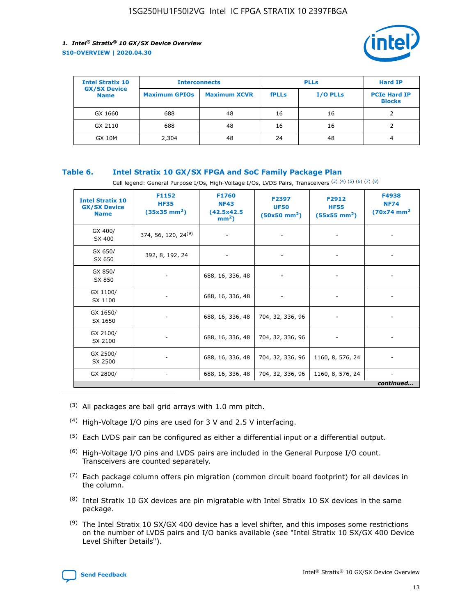

| <b>Intel Stratix 10</b>            | <b>Interconnects</b> |                     | <b>PLLs</b>  |                 | <b>Hard IP</b>                       |
|------------------------------------|----------------------|---------------------|--------------|-----------------|--------------------------------------|
| <b>GX/SX Device</b><br><b>Name</b> | <b>Maximum GPIOs</b> | <b>Maximum XCVR</b> | <b>fPLLs</b> | <b>I/O PLLs</b> | <b>PCIe Hard IP</b><br><b>Blocks</b> |
| GX 1660                            | 688                  | 48                  | 16           | 16              |                                      |
| GX 2110                            | 688                  | 48                  | 16           | 16              |                                      |
| <b>GX 10M</b>                      | 2,304                | 48                  | 24           | 48              | 4                                    |

## **Table 6. Intel Stratix 10 GX/SX FPGA and SoC Family Package Plan**

Cell legend: General Purpose I/Os, High-Voltage I/Os, LVDS Pairs, Transceivers (3) (4) (5) (6) (7) (8)

| <b>Intel Stratix 10</b><br><b>GX/SX Device</b><br><b>Name</b> | F1152<br><b>HF35</b><br>$(35x35 \text{ mm}^2)$ | F1760<br><b>NF43</b><br>(42.5x42.5<br>$mm2$ ) | F2397<br><b>UF50</b><br>$(50x50 \text{ mm}^2)$ | F2912<br><b>HF55</b><br>$(55x55$ mm <sup>2</sup> ) | F4938<br><b>NF74</b><br>$(70x74)$ mm <sup>2</sup> |
|---------------------------------------------------------------|------------------------------------------------|-----------------------------------------------|------------------------------------------------|----------------------------------------------------|---------------------------------------------------|
| GX 400/<br>SX 400                                             | 374, 56, 120, 24 <sup>(9)</sup>                | $\overline{\phantom{a}}$                      | $\overline{\phantom{a}}$                       | ۰                                                  |                                                   |
| GX 650/<br>SX 650                                             | 392, 8, 192, 24                                | $\overline{\phantom{a}}$                      | $\overline{\phantom{a}}$                       |                                                    |                                                   |
| GX 850/<br>SX 850                                             | ۰.                                             | 688, 16, 336, 48                              |                                                |                                                    |                                                   |
| GX 1100/<br>SX 1100                                           |                                                | 688, 16, 336, 48                              |                                                |                                                    |                                                   |
| GX 1650/<br>SX 1650                                           |                                                | 688, 16, 336, 48                              | 704, 32, 336, 96                               |                                                    |                                                   |
| GX 2100/<br>SX 2100                                           | -                                              | 688, 16, 336, 48                              | 704, 32, 336, 96                               | $\overline{\phantom{a}}$                           |                                                   |
| GX 2500/<br>SX 2500                                           |                                                | 688, 16, 336, 48                              | 704, 32, 336, 96                               | 1160, 8, 576, 24                                   |                                                   |
| GX 2800/                                                      | -                                              | 688, 16, 336, 48                              | 704, 32, 336, 96                               | 1160, 8, 576, 24                                   | $\overline{\phantom{a}}$<br>continued             |

- (3) All packages are ball grid arrays with 1.0 mm pitch.
- (4) High-Voltage I/O pins are used for 3 V and 2.5 V interfacing.
- $(5)$  Each LVDS pair can be configured as either a differential input or a differential output.
- (6) High-Voltage I/O pins and LVDS pairs are included in the General Purpose I/O count. Transceivers are counted separately.
- $(7)$  Each package column offers pin migration (common circuit board footprint) for all devices in the column.
- $(8)$  Intel Stratix 10 GX devices are pin migratable with Intel Stratix 10 SX devices in the same package.
- $(9)$  The Intel Stratix 10 SX/GX 400 device has a level shifter, and this imposes some restrictions on the number of LVDS pairs and I/O banks available (see "Intel Stratix 10 SX/GX 400 Device Level Shifter Details").

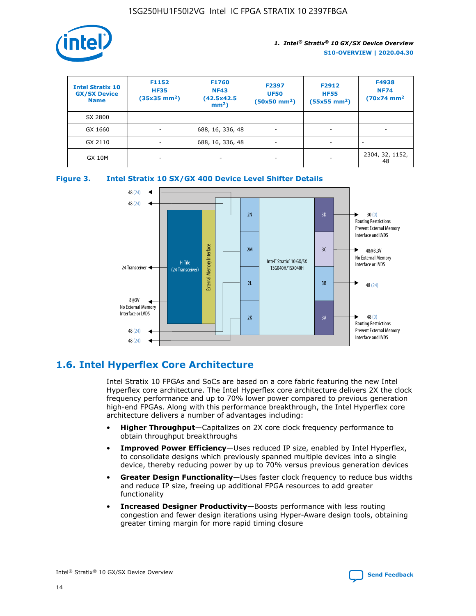

| <b>Intel Stratix 10</b><br><b>GX/SX Device</b><br><b>Name</b> | F1152<br><b>HF35</b><br>$(35x35)$ mm <sup>2</sup> ) | <b>F1760</b><br><b>NF43</b><br>(42.5x42.5<br>$mm2$ ) | F2397<br><b>UF50</b><br>$(50x50 \text{ mm}^2)$ | F2912<br><b>HF55</b><br>$(55x55$ mm <sup>2</sup> ) | F4938<br><b>NF74</b><br>$(70x74)$ mm <sup>2</sup> |
|---------------------------------------------------------------|-----------------------------------------------------|------------------------------------------------------|------------------------------------------------|----------------------------------------------------|---------------------------------------------------|
| SX 2800                                                       |                                                     |                                                      |                                                |                                                    |                                                   |
| GX 1660                                                       | ٠                                                   | 688, 16, 336, 48                                     | ٠                                              |                                                    |                                                   |
| GX 2110                                                       | $\overline{\phantom{a}}$                            | 688, 16, 336, 48                                     | -                                              |                                                    |                                                   |
| <b>GX 10M</b>                                                 | ۰                                                   | -                                                    | -                                              |                                                    | 2304, 32, 1152,<br>48                             |





## **1.6. Intel Hyperflex Core Architecture**

Intel Stratix 10 FPGAs and SoCs are based on a core fabric featuring the new Intel Hyperflex core architecture. The Intel Hyperflex core architecture delivers 2X the clock frequency performance and up to 70% lower power compared to previous generation high-end FPGAs. Along with this performance breakthrough, the Intel Hyperflex core architecture delivers a number of advantages including:

- **Higher Throughput**—Capitalizes on 2X core clock frequency performance to obtain throughput breakthroughs
- **Improved Power Efficiency**—Uses reduced IP size, enabled by Intel Hyperflex, to consolidate designs which previously spanned multiple devices into a single device, thereby reducing power by up to 70% versus previous generation devices
- **Greater Design Functionality**—Uses faster clock frequency to reduce bus widths and reduce IP size, freeing up additional FPGA resources to add greater functionality
- **Increased Designer Productivity**—Boosts performance with less routing congestion and fewer design iterations using Hyper-Aware design tools, obtaining greater timing margin for more rapid timing closure

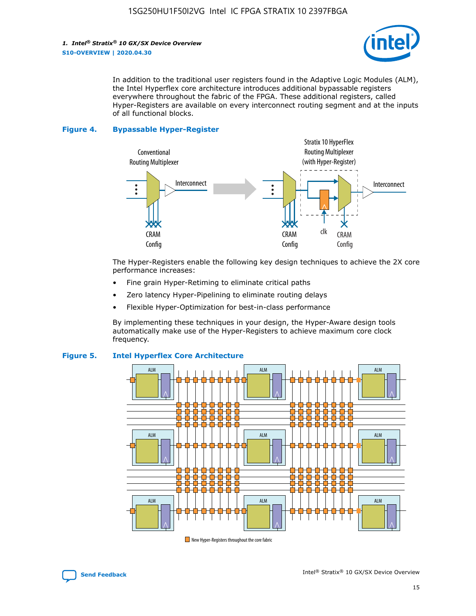

In addition to the traditional user registers found in the Adaptive Logic Modules (ALM), the Intel Hyperflex core architecture introduces additional bypassable registers everywhere throughout the fabric of the FPGA. These additional registers, called Hyper-Registers are available on every interconnect routing segment and at the inputs of all functional blocks.

#### **Figure 4. Bypassable Hyper-Register**



The Hyper-Registers enable the following key design techniques to achieve the 2X core performance increases:

- Fine grain Hyper-Retiming to eliminate critical paths
- Zero latency Hyper-Pipelining to eliminate routing delays
- Flexible Hyper-Optimization for best-in-class performance

By implementing these techniques in your design, the Hyper-Aware design tools automatically make use of the Hyper-Registers to achieve maximum core clock frequency.



## **Figure 5. Intel Hyperflex Core Architecture**

New Hyper-Registers throughout the core fabric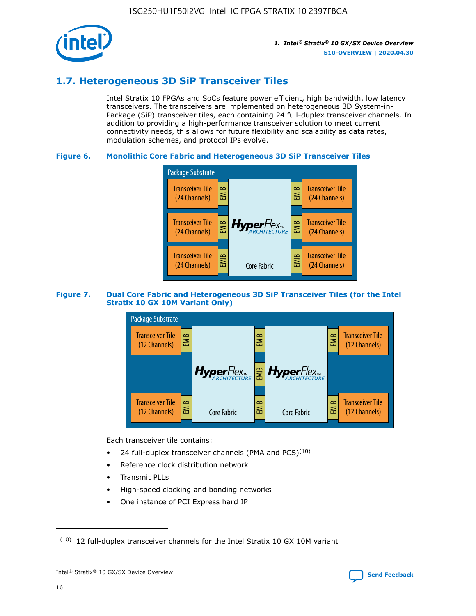

## **1.7. Heterogeneous 3D SiP Transceiver Tiles**

Intel Stratix 10 FPGAs and SoCs feature power efficient, high bandwidth, low latency transceivers. The transceivers are implemented on heterogeneous 3D System-in-Package (SiP) transceiver tiles, each containing 24 full-duplex transceiver channels. In addition to providing a high-performance transceiver solution to meet current connectivity needs, this allows for future flexibility and scalability as data rates, modulation schemes, and protocol IPs evolve.

## **Figure 6. Monolithic Core Fabric and Heterogeneous 3D SiP Transceiver Tiles**



## **Figure 7. Dual Core Fabric and Heterogeneous 3D SiP Transceiver Tiles (for the Intel Stratix 10 GX 10M Variant Only)**



Each transceiver tile contains:

- 24 full-duplex transceiver channels (PMA and PCS) $(10)$
- Reference clock distribution network
- Transmit PLLs
- High-speed clocking and bonding networks
- One instance of PCI Express hard IP

16

 $(10)$  12 full-duplex transceiver channels for the Intel Stratix 10 GX 10M variant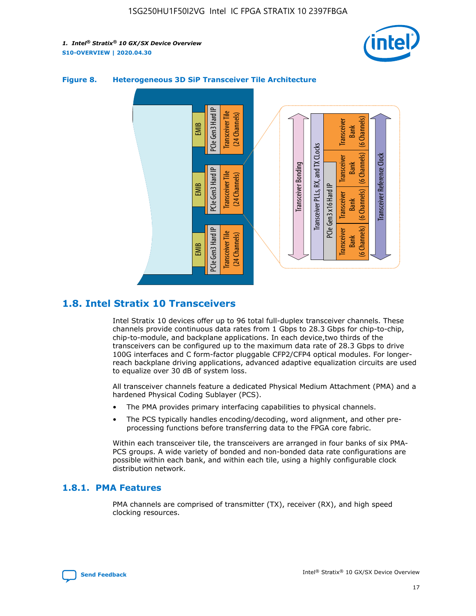



## **Figure 8. Heterogeneous 3D SiP Transceiver Tile Architecture**

## **1.8. Intel Stratix 10 Transceivers**

Intel Stratix 10 devices offer up to 96 total full-duplex transceiver channels. These channels provide continuous data rates from 1 Gbps to 28.3 Gbps for chip-to-chip, chip-to-module, and backplane applications. In each device,two thirds of the transceivers can be configured up to the maximum data rate of 28.3 Gbps to drive 100G interfaces and C form-factor pluggable CFP2/CFP4 optical modules. For longerreach backplane driving applications, advanced adaptive equalization circuits are used to equalize over 30 dB of system loss.

All transceiver channels feature a dedicated Physical Medium Attachment (PMA) and a hardened Physical Coding Sublayer (PCS).

- The PMA provides primary interfacing capabilities to physical channels.
- The PCS typically handles encoding/decoding, word alignment, and other preprocessing functions before transferring data to the FPGA core fabric.

Within each transceiver tile, the transceivers are arranged in four banks of six PMA-PCS groups. A wide variety of bonded and non-bonded data rate configurations are possible within each bank, and within each tile, using a highly configurable clock distribution network.

## **1.8.1. PMA Features**

PMA channels are comprised of transmitter (TX), receiver (RX), and high speed clocking resources.

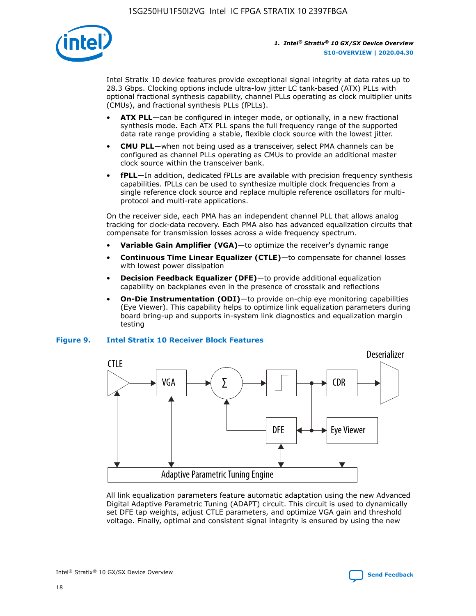

Intel Stratix 10 device features provide exceptional signal integrity at data rates up to 28.3 Gbps. Clocking options include ultra-low jitter LC tank-based (ATX) PLLs with optional fractional synthesis capability, channel PLLs operating as clock multiplier units (CMUs), and fractional synthesis PLLs (fPLLs).

- **ATX PLL**—can be configured in integer mode, or optionally, in a new fractional synthesis mode. Each ATX PLL spans the full frequency range of the supported data rate range providing a stable, flexible clock source with the lowest jitter.
- **CMU PLL**—when not being used as a transceiver, select PMA channels can be configured as channel PLLs operating as CMUs to provide an additional master clock source within the transceiver bank.
- **fPLL**—In addition, dedicated fPLLs are available with precision frequency synthesis capabilities. fPLLs can be used to synthesize multiple clock frequencies from a single reference clock source and replace multiple reference oscillators for multiprotocol and multi-rate applications.

On the receiver side, each PMA has an independent channel PLL that allows analog tracking for clock-data recovery. Each PMA also has advanced equalization circuits that compensate for transmission losses across a wide frequency spectrum.

- **Variable Gain Amplifier (VGA)**—to optimize the receiver's dynamic range
- **Continuous Time Linear Equalizer (CTLE)**—to compensate for channel losses with lowest power dissipation
- **Decision Feedback Equalizer (DFE)**—to provide additional equalization capability on backplanes even in the presence of crosstalk and reflections
- **On-Die Instrumentation (ODI)**—to provide on-chip eye monitoring capabilities (Eye Viewer). This capability helps to optimize link equalization parameters during board bring-up and supports in-system link diagnostics and equalization margin testing

#### **Figure 9. Intel Stratix 10 Receiver Block Features**



All link equalization parameters feature automatic adaptation using the new Advanced Digital Adaptive Parametric Tuning (ADAPT) circuit. This circuit is used to dynamically set DFE tap weights, adjust CTLE parameters, and optimize VGA gain and threshold voltage. Finally, optimal and consistent signal integrity is ensured by using the new



Intel<sup>®</sup> Stratix<sup>®</sup> 10 GX/SX Device Overview **[Send Feedback](mailto:FPGAtechdocfeedback@intel.com?subject=Feedback%20on%20Intel%20Stratix%2010%20GX/SX%20Device%20Overview%20(S10-OVERVIEW%202020.04.30)&body=We%20appreciate%20your%20feedback.%20In%20your%20comments,%20also%20specify%20the%20page%20number%20or%20paragraph.%20Thank%20you.)** Send Feedback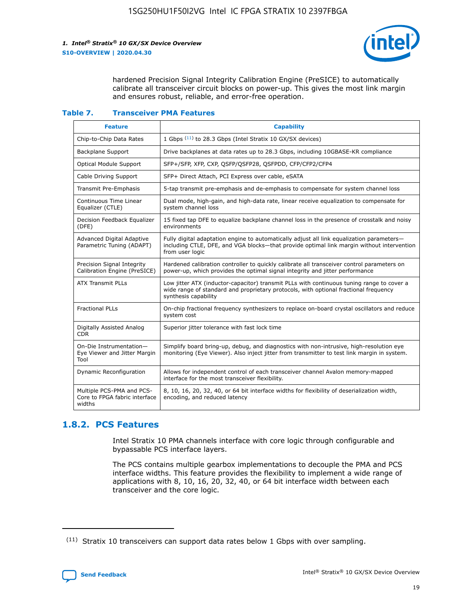

hardened Precision Signal Integrity Calibration Engine (PreSICE) to automatically calibrate all transceiver circuit blocks on power-up. This gives the most link margin and ensures robust, reliable, and error-free operation.

#### **Table 7. Transceiver PMA Features**

| <b>Feature</b>                                                       | <b>Capability</b>                                                                                                                                                                                         |
|----------------------------------------------------------------------|-----------------------------------------------------------------------------------------------------------------------------------------------------------------------------------------------------------|
| Chip-to-Chip Data Rates                                              | 1 Gbps (11) to 28.3 Gbps (Intel Stratix 10 GX/SX devices)                                                                                                                                                 |
| <b>Backplane Support</b>                                             | Drive backplanes at data rates up to 28.3 Gbps, including 10GBASE-KR compliance                                                                                                                           |
| Optical Module Support                                               | SFP+/SFP, XFP, CXP, QSFP/QSFP28, QSFPDD, CFP/CFP2/CFP4                                                                                                                                                    |
| Cable Driving Support                                                | SFP+ Direct Attach, PCI Express over cable, eSATA                                                                                                                                                         |
| <b>Transmit Pre-Emphasis</b>                                         | 5-tap transmit pre-emphasis and de-emphasis to compensate for system channel loss                                                                                                                         |
| Continuous Time Linear<br>Equalizer (CTLE)                           | Dual mode, high-gain, and high-data rate, linear receive equalization to compensate for<br>system channel loss                                                                                            |
| Decision Feedback Equalizer<br>(DFE)                                 | 15 fixed tap DFE to equalize backplane channel loss in the presence of crosstalk and noisy<br>environments                                                                                                |
| Advanced Digital Adaptive<br>Parametric Tuning (ADAPT)               | Fully digital adaptation engine to automatically adjust all link equalization parameters-<br>including CTLE, DFE, and VGA blocks-that provide optimal link margin without intervention<br>from user logic |
| Precision Signal Integrity<br>Calibration Engine (PreSICE)           | Hardened calibration controller to quickly calibrate all transceiver control parameters on<br>power-up, which provides the optimal signal integrity and jitter performance                                |
| <b>ATX Transmit PLLs</b>                                             | Low jitter ATX (inductor-capacitor) transmit PLLs with continuous tuning range to cover a<br>wide range of standard and proprietary protocols, with optional fractional frequency<br>synthesis capability |
| <b>Fractional PLLs</b>                                               | On-chip fractional frequency synthesizers to replace on-board crystal oscillators and reduce<br>system cost                                                                                               |
| Digitally Assisted Analog<br>CDR.                                    | Superior jitter tolerance with fast lock time                                                                                                                                                             |
| On-Die Instrumentation-<br>Eye Viewer and Jitter Margin<br>Tool      | Simplify board bring-up, debug, and diagnostics with non-intrusive, high-resolution eye<br>monitoring (Eye Viewer). Also inject jitter from transmitter to test link margin in system.                    |
| Dynamic Reconfiguration                                              | Allows for independent control of each transceiver channel Avalon memory-mapped<br>interface for the most transceiver flexibility.                                                                        |
| Multiple PCS-PMA and PCS-<br>Core to FPGA fabric interface<br>widths | 8, 10, 16, 20, 32, 40, or 64 bit interface widths for flexibility of deserialization width,<br>encoding, and reduced latency                                                                              |

## **1.8.2. PCS Features**

Intel Stratix 10 PMA channels interface with core logic through configurable and bypassable PCS interface layers.

The PCS contains multiple gearbox implementations to decouple the PMA and PCS interface widths. This feature provides the flexibility to implement a wide range of applications with 8, 10, 16, 20, 32, 40, or 64 bit interface width between each transceiver and the core logic.

 $(11)$  Stratix 10 transceivers can support data rates below 1 Gbps with over sampling.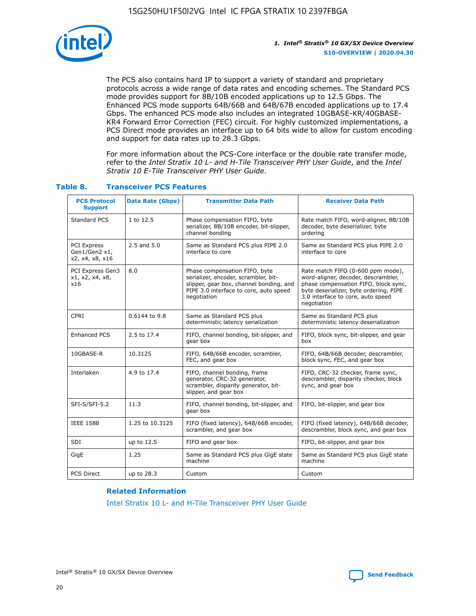

The PCS also contains hard IP to support a variety of standard and proprietary protocols across a wide range of data rates and encoding schemes. The Standard PCS mode provides support for 8B/10B encoded applications up to 12.5 Gbps. The Enhanced PCS mode supports 64B/66B and 64B/67B encoded applications up to 17.4 Gbps. The enhanced PCS mode also includes an integrated 10GBASE-KR/40GBASE-KR4 Forward Error Correction (FEC) circuit. For highly customized implementations, a PCS Direct mode provides an interface up to 64 bits wide to allow for custom encoding and support for data rates up to 28.3 Gbps.

For more information about the PCS-Core interface or the double rate transfer mode, refer to the *Intel Stratix 10 L- and H-Tile Transceiver PHY User Guide*, and the *Intel Stratix 10 E-Tile Transceiver PHY User Guide*.

| <b>PCS Protocol</b><br><b>Support</b>           | <b>Data Rate (Gbps)</b> | <b>Transmitter Data Path</b>                                                                                                                                              | <b>Receiver Data Path</b>                                                                                                                                                                                      |
|-------------------------------------------------|-------------------------|---------------------------------------------------------------------------------------------------------------------------------------------------------------------------|----------------------------------------------------------------------------------------------------------------------------------------------------------------------------------------------------------------|
| Standard PCS                                    | 1 to 12.5               | Phase compensation FIFO, byte<br>serializer, 8B/10B encoder, bit-slipper,<br>channel bonding                                                                              | Rate match FIFO, word-aligner, 8B/10B<br>decoder, byte deserializer, byte<br>ordering                                                                                                                          |
| PCI Express<br>Gen1/Gen2 x1,<br>x2, x4, x8, x16 | $2.5$ and $5.0$         | Same as Standard PCS plus PIPE 2.0<br>interface to core                                                                                                                   | Same as Standard PCS plus PIPE 2.0<br>interface to core                                                                                                                                                        |
| PCI Express Gen3<br>x1, x2, x4, x8,<br>x16      | 8.0                     | Phase compensation FIFO, byte<br>serializer, encoder, scrambler, bit-<br>slipper, gear box, channel bonding, and<br>PIPE 3.0 interface to core, auto speed<br>negotiation | Rate match FIFO (0-600 ppm mode),<br>word-aligner, decoder, descrambler,<br>phase compensation FIFO, block sync,<br>byte deserializer, byte ordering, PIPE<br>3.0 interface to core, auto speed<br>negotiation |
| CPRI                                            | 0.6144 to 9.8           | Same as Standard PCS plus<br>deterministic latency serialization                                                                                                          | Same as Standard PCS plus<br>deterministic latency deserialization                                                                                                                                             |
| <b>Enhanced PCS</b>                             | 2.5 to 17.4             | FIFO, channel bonding, bit-slipper, and<br>gear box                                                                                                                       | FIFO, block sync, bit-slipper, and gear<br>box                                                                                                                                                                 |
| 10GBASE-R                                       | 10.3125                 | FIFO, 64B/66B encoder, scrambler,<br>FEC, and gear box                                                                                                                    | FIFO, 64B/66B decoder, descrambler,<br>block sync, FEC, and gear box                                                                                                                                           |
| Interlaken                                      | 4.9 to 17.4             | FIFO, channel bonding, frame<br>generator, CRC-32 generator,<br>scrambler, disparity generator, bit-<br>slipper, and gear box                                             | FIFO, CRC-32 checker, frame sync,<br>descrambler, disparity checker, block<br>sync, and gear box                                                                                                               |
| SFI-S/SFI-5.2                                   | 11.3                    | FIFO, channel bonding, bit-slipper, and<br>gear box                                                                                                                       | FIFO, bit-slipper, and gear box                                                                                                                                                                                |
| <b>IEEE 1588</b>                                | 1.25 to 10.3125         | FIFO (fixed latency), 64B/66B encoder,<br>scrambler, and gear box                                                                                                         | FIFO (fixed latency), 64B/66B decoder,<br>descrambler, block sync, and gear box                                                                                                                                |
| SDI                                             | up to 12.5              | FIFO and gear box                                                                                                                                                         | FIFO, bit-slipper, and gear box                                                                                                                                                                                |
| GigE                                            | 1.25                    | Same as Standard PCS plus GigE state<br>machine                                                                                                                           | Same as Standard PCS plus GigE state<br>machine                                                                                                                                                                |
| <b>PCS Direct</b>                               | up to 28.3              | Custom                                                                                                                                                                    | Custom                                                                                                                                                                                                         |

## **Table 8. Transceiver PCS Features**

#### **Related Information**

[Intel Stratix 10 L- and H-Tile Transceiver PHY User Guide](https://www.altera.com/documentation/wry1479165198810.html)

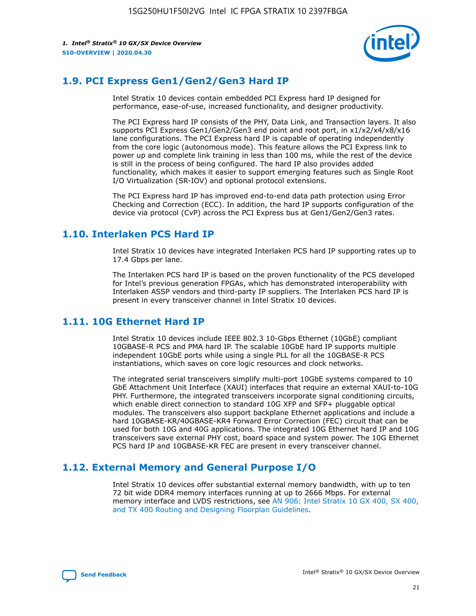

## **1.9. PCI Express Gen1/Gen2/Gen3 Hard IP**

Intel Stratix 10 devices contain embedded PCI Express hard IP designed for performance, ease-of-use, increased functionality, and designer productivity.

The PCI Express hard IP consists of the PHY, Data Link, and Transaction layers. It also supports PCI Express Gen1/Gen2/Gen3 end point and root port, in x1/x2/x4/x8/x16 lane configurations. The PCI Express hard IP is capable of operating independently from the core logic (autonomous mode). This feature allows the PCI Express link to power up and complete link training in less than 100 ms, while the rest of the device is still in the process of being configured. The hard IP also provides added functionality, which makes it easier to support emerging features such as Single Root I/O Virtualization (SR-IOV) and optional protocol extensions.

The PCI Express hard IP has improved end-to-end data path protection using Error Checking and Correction (ECC). In addition, the hard IP supports configuration of the device via protocol (CvP) across the PCI Express bus at Gen1/Gen2/Gen3 rates.

## **1.10. Interlaken PCS Hard IP**

Intel Stratix 10 devices have integrated Interlaken PCS hard IP supporting rates up to 17.4 Gbps per lane.

The Interlaken PCS hard IP is based on the proven functionality of the PCS developed for Intel's previous generation FPGAs, which has demonstrated interoperability with Interlaken ASSP vendors and third-party IP suppliers. The Interlaken PCS hard IP is present in every transceiver channel in Intel Stratix 10 devices.

## **1.11. 10G Ethernet Hard IP**

Intel Stratix 10 devices include IEEE 802.3 10-Gbps Ethernet (10GbE) compliant 10GBASE-R PCS and PMA hard IP. The scalable 10GbE hard IP supports multiple independent 10GbE ports while using a single PLL for all the 10GBASE-R PCS instantiations, which saves on core logic resources and clock networks.

The integrated serial transceivers simplify multi-port 10GbE systems compared to 10 GbE Attachment Unit Interface (XAUI) interfaces that require an external XAUI-to-10G PHY. Furthermore, the integrated transceivers incorporate signal conditioning circuits, which enable direct connection to standard 10G XFP and SFP+ pluggable optical modules. The transceivers also support backplane Ethernet applications and include a hard 10GBASE-KR/40GBASE-KR4 Forward Error Correction (FEC) circuit that can be used for both 10G and 40G applications. The integrated 10G Ethernet hard IP and 10G transceivers save external PHY cost, board space and system power. The 10G Ethernet PCS hard IP and 10GBASE-KR FEC are present in every transceiver channel.

## **1.12. External Memory and General Purpose I/O**

Intel Stratix 10 devices offer substantial external memory bandwidth, with up to ten 72 bit wide DDR4 memory interfaces running at up to 2666 Mbps. For external memory interface and LVDS restrictions, see [AN 906: Intel Stratix 10 GX 400, SX 400,](https://www.intel.com/content/www/us/en/programmable/documentation/sjf1574667190623.html#bft1574667627484) [and TX 400 Routing and Designing Floorplan Guidelines.](https://www.intel.com/content/www/us/en/programmable/documentation/sjf1574667190623.html#bft1574667627484)

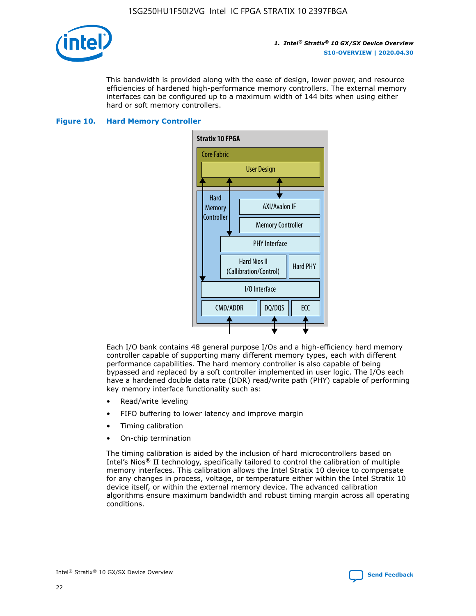

This bandwidth is provided along with the ease of design, lower power, and resource efficiencies of hardened high-performance memory controllers. The external memory interfaces can be configured up to a maximum width of 144 bits when using either hard or soft memory controllers.

#### **Figure 10. Hard Memory Controller**



Each I/O bank contains 48 general purpose I/Os and a high-efficiency hard memory controller capable of supporting many different memory types, each with different performance capabilities. The hard memory controller is also capable of being bypassed and replaced by a soft controller implemented in user logic. The I/Os each have a hardened double data rate (DDR) read/write path (PHY) capable of performing key memory interface functionality such as:

- Read/write leveling
- FIFO buffering to lower latency and improve margin
- Timing calibration
- On-chip termination

The timing calibration is aided by the inclusion of hard microcontrollers based on Intel's Nios® II technology, specifically tailored to control the calibration of multiple memory interfaces. This calibration allows the Intel Stratix 10 device to compensate for any changes in process, voltage, or temperature either within the Intel Stratix 10 device itself, or within the external memory device. The advanced calibration algorithms ensure maximum bandwidth and robust timing margin across all operating conditions.

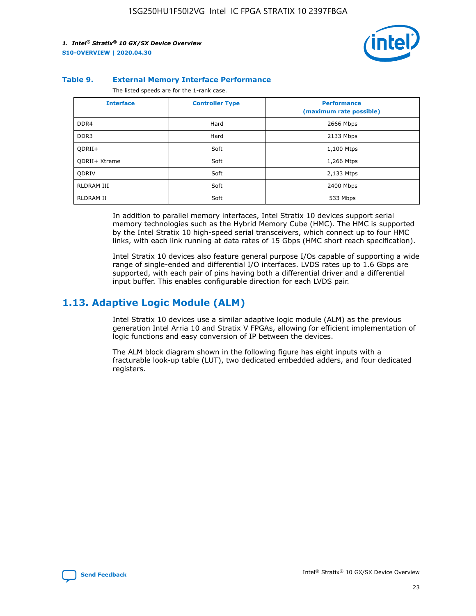

#### **Table 9. External Memory Interface Performance**

The listed speeds are for the 1-rank case.

| <b>Interface</b> | <b>Controller Type</b> | <b>Performance</b><br>(maximum rate possible) |  |
|------------------|------------------------|-----------------------------------------------|--|
| DDR4             | Hard                   | 2666 Mbps                                     |  |
| DDR <sub>3</sub> | Hard                   | 2133 Mbps                                     |  |
| QDRII+           | Soft                   | 1,100 Mtps                                    |  |
| QDRII+ Xtreme    | Soft                   | 1,266 Mtps                                    |  |
| <b>ODRIV</b>     | Soft                   | 2,133 Mtps                                    |  |
| RLDRAM III       | Soft                   | 2400 Mbps                                     |  |
| <b>RLDRAM II</b> | Soft                   | 533 Mbps                                      |  |

In addition to parallel memory interfaces, Intel Stratix 10 devices support serial memory technologies such as the Hybrid Memory Cube (HMC). The HMC is supported by the Intel Stratix 10 high-speed serial transceivers, which connect up to four HMC links, with each link running at data rates of 15 Gbps (HMC short reach specification).

Intel Stratix 10 devices also feature general purpose I/Os capable of supporting a wide range of single-ended and differential I/O interfaces. LVDS rates up to 1.6 Gbps are supported, with each pair of pins having both a differential driver and a differential input buffer. This enables configurable direction for each LVDS pair.

## **1.13. Adaptive Logic Module (ALM)**

Intel Stratix 10 devices use a similar adaptive logic module (ALM) as the previous generation Intel Arria 10 and Stratix V FPGAs, allowing for efficient implementation of logic functions and easy conversion of IP between the devices.

The ALM block diagram shown in the following figure has eight inputs with a fracturable look-up table (LUT), two dedicated embedded adders, and four dedicated registers.

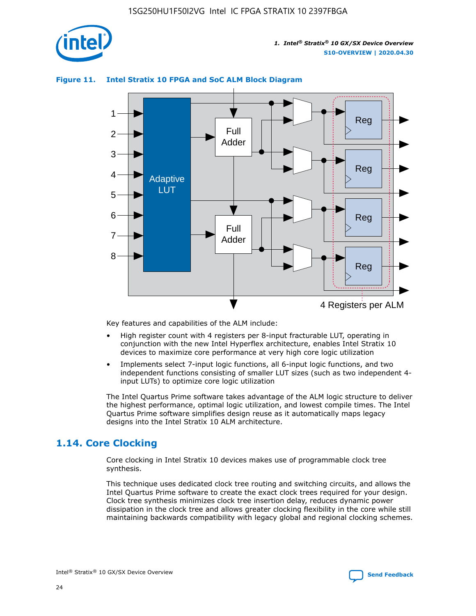

## **Figure 11. Intel Stratix 10 FPGA and SoC ALM Block Diagram**



Key features and capabilities of the ALM include:

- High register count with 4 registers per 8-input fracturable LUT, operating in conjunction with the new Intel Hyperflex architecture, enables Intel Stratix 10 devices to maximize core performance at very high core logic utilization
- Implements select 7-input logic functions, all 6-input logic functions, and two independent functions consisting of smaller LUT sizes (such as two independent 4 input LUTs) to optimize core logic utilization

The Intel Quartus Prime software takes advantage of the ALM logic structure to deliver the highest performance, optimal logic utilization, and lowest compile times. The Intel Quartus Prime software simplifies design reuse as it automatically maps legacy designs into the Intel Stratix 10 ALM architecture.

## **1.14. Core Clocking**

Core clocking in Intel Stratix 10 devices makes use of programmable clock tree synthesis.

This technique uses dedicated clock tree routing and switching circuits, and allows the Intel Quartus Prime software to create the exact clock trees required for your design. Clock tree synthesis minimizes clock tree insertion delay, reduces dynamic power dissipation in the clock tree and allows greater clocking flexibility in the core while still maintaining backwards compatibility with legacy global and regional clocking schemes.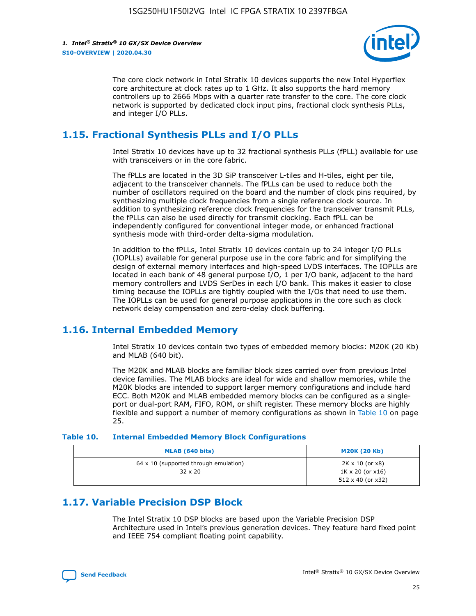

The core clock network in Intel Stratix 10 devices supports the new Intel Hyperflex core architecture at clock rates up to 1 GHz. It also supports the hard memory controllers up to 2666 Mbps with a quarter rate transfer to the core. The core clock network is supported by dedicated clock input pins, fractional clock synthesis PLLs, and integer I/O PLLs.

## **1.15. Fractional Synthesis PLLs and I/O PLLs**

Intel Stratix 10 devices have up to 32 fractional synthesis PLLs (fPLL) available for use with transceivers or in the core fabric.

The fPLLs are located in the 3D SiP transceiver L-tiles and H-tiles, eight per tile, adjacent to the transceiver channels. The fPLLs can be used to reduce both the number of oscillators required on the board and the number of clock pins required, by synthesizing multiple clock frequencies from a single reference clock source. In addition to synthesizing reference clock frequencies for the transceiver transmit PLLs, the fPLLs can also be used directly for transmit clocking. Each fPLL can be independently configured for conventional integer mode, or enhanced fractional synthesis mode with third-order delta-sigma modulation.

In addition to the fPLLs, Intel Stratix 10 devices contain up to 24 integer I/O PLLs (IOPLLs) available for general purpose use in the core fabric and for simplifying the design of external memory interfaces and high-speed LVDS interfaces. The IOPLLs are located in each bank of 48 general purpose I/O, 1 per I/O bank, adjacent to the hard memory controllers and LVDS SerDes in each I/O bank. This makes it easier to close timing because the IOPLLs are tightly coupled with the I/Os that need to use them. The IOPLLs can be used for general purpose applications in the core such as clock network delay compensation and zero-delay clock buffering.

## **1.16. Internal Embedded Memory**

Intel Stratix 10 devices contain two types of embedded memory blocks: M20K (20 Kb) and MLAB (640 bit).

The M20K and MLAB blocks are familiar block sizes carried over from previous Intel device families. The MLAB blocks are ideal for wide and shallow memories, while the M20K blocks are intended to support larger memory configurations and include hard ECC. Both M20K and MLAB embedded memory blocks can be configured as a singleport or dual-port RAM, FIFO, ROM, or shift register. These memory blocks are highly flexible and support a number of memory configurations as shown in Table 10 on page 25.

#### **Table 10. Internal Embedded Memory Block Configurations**

| MLAB (640 bits)                                                | <b>M20K (20 Kb)</b>                                                                    |
|----------------------------------------------------------------|----------------------------------------------------------------------------------------|
| $64 \times 10$ (supported through emulation)<br>$32 \times 20$ | $2K \times 10$ (or $x8$ )<br>$1K \times 20$ (or $x16$ )<br>$512 \times 40$ (or $x32$ ) |

## **1.17. Variable Precision DSP Block**

The Intel Stratix 10 DSP blocks are based upon the Variable Precision DSP Architecture used in Intel's previous generation devices. They feature hard fixed point and IEEE 754 compliant floating point capability.

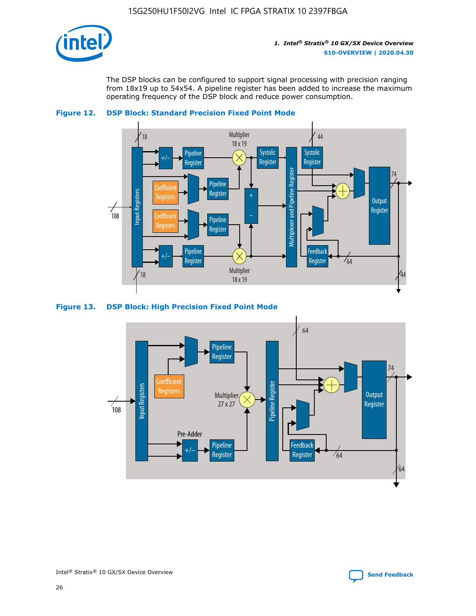

The DSP blocks can be configured to support signal processing with precision ranging from 18x19 up to 54x54. A pipeline register has been added to increase the maximum operating frequency of the DSP block and reduce power consumption.





#### **Figure 13. DSP Block: High Precision Fixed Point Mode**

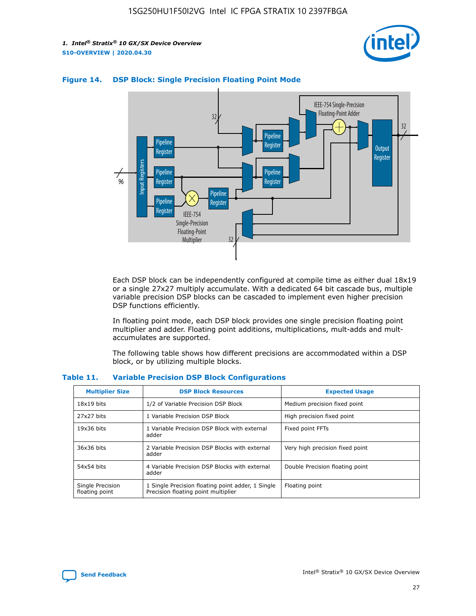



## **Figure 14. DSP Block: Single Precision Floating Point Mode**

Each DSP block can be independently configured at compile time as either dual 18x19 or a single 27x27 multiply accumulate. With a dedicated 64 bit cascade bus, multiple variable precision DSP blocks can be cascaded to implement even higher precision DSP functions efficiently.

In floating point mode, each DSP block provides one single precision floating point multiplier and adder. Floating point additions, multiplications, mult-adds and multaccumulates are supported.

The following table shows how different precisions are accommodated within a DSP block, or by utilizing multiple blocks.

| <b>Multiplier Size</b>             | <b>DSP Block Resources</b>                                                               | <b>Expected Usage</b>           |
|------------------------------------|------------------------------------------------------------------------------------------|---------------------------------|
| $18x19$ bits                       | 1/2 of Variable Precision DSP Block                                                      | Medium precision fixed point    |
| 27x27 bits                         | 1 Variable Precision DSP Block                                                           | High precision fixed point      |
| $19x36$ bits                       | 1 Variable Precision DSP Block with external<br>adder                                    | Fixed point FFTs                |
| 36x36 bits                         | 2 Variable Precision DSP Blocks with external<br>adder                                   | Very high precision fixed point |
| 54x54 bits                         | 4 Variable Precision DSP Blocks with external<br>adder                                   | Double Precision floating point |
| Single Precision<br>floating point | 1 Single Precision floating point adder, 1 Single<br>Precision floating point multiplier | Floating point                  |

#### **Table 11. Variable Precision DSP Block Configurations**

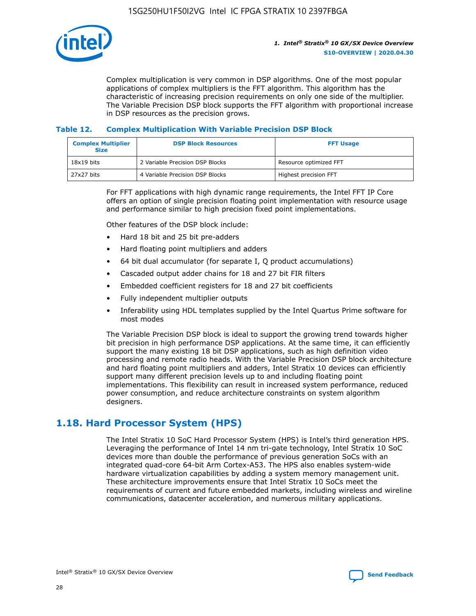

Complex multiplication is very common in DSP algorithms. One of the most popular applications of complex multipliers is the FFT algorithm. This algorithm has the characteristic of increasing precision requirements on only one side of the multiplier. The Variable Precision DSP block supports the FFT algorithm with proportional increase in DSP resources as the precision grows.

## **Table 12. Complex Multiplication With Variable Precision DSP Block**

| <b>Complex Multiplier</b><br><b>Size</b> | <b>DSP Block Resources</b>      | <b>FFT Usage</b>       |
|------------------------------------------|---------------------------------|------------------------|
| $18x19$ bits                             | 2 Variable Precision DSP Blocks | Resource optimized FFT |
| 27x27 bits                               | 4 Variable Precision DSP Blocks | Highest precision FFT  |

For FFT applications with high dynamic range requirements, the Intel FFT IP Core offers an option of single precision floating point implementation with resource usage and performance similar to high precision fixed point implementations.

Other features of the DSP block include:

- Hard 18 bit and 25 bit pre-adders
- Hard floating point multipliers and adders
- 64 bit dual accumulator (for separate I, Q product accumulations)
- Cascaded output adder chains for 18 and 27 bit FIR filters
- Embedded coefficient registers for 18 and 27 bit coefficients
- Fully independent multiplier outputs
- Inferability using HDL templates supplied by the Intel Quartus Prime software for most modes

The Variable Precision DSP block is ideal to support the growing trend towards higher bit precision in high performance DSP applications. At the same time, it can efficiently support the many existing 18 bit DSP applications, such as high definition video processing and remote radio heads. With the Variable Precision DSP block architecture and hard floating point multipliers and adders, Intel Stratix 10 devices can efficiently support many different precision levels up to and including floating point implementations. This flexibility can result in increased system performance, reduced power consumption, and reduce architecture constraints on system algorithm designers.

## **1.18. Hard Processor System (HPS)**

The Intel Stratix 10 SoC Hard Processor System (HPS) is Intel's third generation HPS. Leveraging the performance of Intel 14 nm tri-gate technology, Intel Stratix 10 SoC devices more than double the performance of previous generation SoCs with an integrated quad-core 64-bit Arm Cortex-A53. The HPS also enables system-wide hardware virtualization capabilities by adding a system memory management unit. These architecture improvements ensure that Intel Stratix 10 SoCs meet the requirements of current and future embedded markets, including wireless and wireline communications, datacenter acceleration, and numerous military applications.

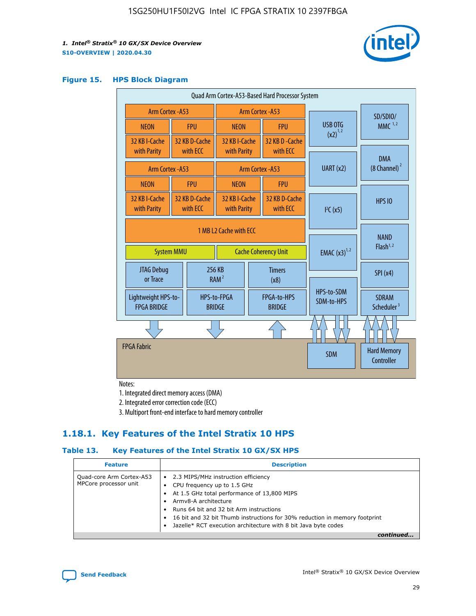

#### **Figure 15. HPS Block Diagram**

| Quad Arm Cortex-A53-Based Hard Processor System |                   |                           |                                                           |                       |                              |                                  |                                     |                                        |
|-------------------------------------------------|-------------------|---------------------------|-----------------------------------------------------------|-----------------------|------------------------------|----------------------------------|-------------------------------------|----------------------------------------|
| Arm Cortex - A53                                |                   |                           | Arm Cortex - A53                                          |                       |                              |                                  | SD/SDIO/                            |                                        |
| <b>NEON</b>                                     |                   | <b>FPU</b>                | <b>NEON</b>                                               |                       | <b>FPU</b>                   | USB OTG                          |                                     | $MMC$ <sup>1,2</sup>                   |
| 32 KB I-Cache<br>with Parity                    |                   | 32 KB D-Cache<br>with ECC | 32 KB I-Cache<br>with Parity                              |                       | 32 KB D - Cache<br>with ECC  | $(x2)^{1,2}$                     |                                     |                                        |
|                                                 | Arm Cortex - A53  |                           |                                                           |                       | Arm Cortex - A53             | UART (x2)                        |                                     | <b>DMA</b><br>(8 Channel) <sup>2</sup> |
| <b>NEON</b>                                     |                   | <b>FPU</b>                | <b>NEON</b>                                               |                       | <b>FPU</b>                   |                                  |                                     |                                        |
| 32 KB I-Cache<br>with Parity                    |                   | 32 KB D-Cache<br>with ECC | 32 KB I-Cache<br>32 KB D-Cache<br>with ECC<br>with Parity |                       | I <sup>2</sup> C(x5)         |                                  | <b>HPS 10</b>                       |                                        |
|                                                 | <b>System MMU</b> |                           | 1 MB L2 Cache with ECC<br><b>Cache Coherency Unit</b>     |                       | <b>EMAC</b> $(x3)^{1,2}$     |                                  | <b>NAND</b><br>Flash <sup>1,2</sup> |                                        |
| <b>JTAG Debug</b><br>or Trace                   |                   |                           | 256 KB<br>RAM <sup>2</sup>                                | <b>Timers</b><br>(x8) |                              |                                  |                                     | SPI(x4)                                |
| Lightweight HPS-to-<br><b>FPGA BRIDGE</b>       |                   |                           | HPS-to-FPGA<br><b>BRIDGE</b>                              |                       | FPGA-to-HPS<br><b>BRIDGE</b> | HPS-to-SDM<br>SDM-to-HPS         |                                     | <b>SDRAM</b><br>Scheduler <sup>3</sup> |
|                                                 |                   |                           |                                                           |                       |                              |                                  |                                     |                                        |
| <b>FPGA Fabric</b>                              |                   |                           |                                                           | <b>SDM</b>            |                              | <b>Hard Memory</b><br>Controller |                                     |                                        |

Notes:

1. Integrated direct memory access (DMA)

2. Integrated error correction code (ECC)

3. Multiport front-end interface to hard memory controller

## **1.18.1. Key Features of the Intel Stratix 10 HPS**

## **Table 13. Key Features of the Intel Stratix 10 GX/SX HPS**

| <b>Feature</b>                                    | <b>Description</b>                                                                                                                                                                                                                                                                                                                                     |
|---------------------------------------------------|--------------------------------------------------------------------------------------------------------------------------------------------------------------------------------------------------------------------------------------------------------------------------------------------------------------------------------------------------------|
| Quad-core Arm Cortex-A53<br>MPCore processor unit | 2.3 MIPS/MHz instruction efficiency<br>$\bullet$<br>CPU frequency up to 1.5 GHz<br>٠<br>At 1.5 GHz total performance of 13,800 MIPS<br>Army8-A architecture<br>Runs 64 bit and 32 bit Arm instructions<br>16 bit and 32 bit Thumb instructions for 30% reduction in memory footprint<br>Jazelle* RCT execution architecture with 8 bit Java byte codes |
|                                                   |                                                                                                                                                                                                                                                                                                                                                        |

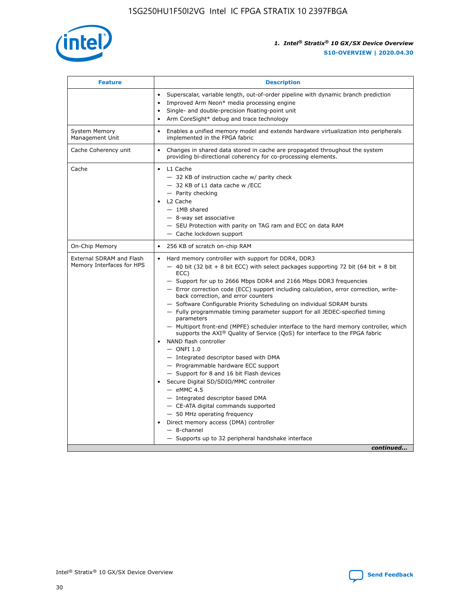

| <b>Feature</b>                                        | <b>Description</b>                                                                                                                                                                                                                                                                                                                                                                                                                                                                                                                                                                                                                                                                                                                                                                                                                                                                                                                                                                                                                                                                                                                                                                                                    |  |
|-------------------------------------------------------|-----------------------------------------------------------------------------------------------------------------------------------------------------------------------------------------------------------------------------------------------------------------------------------------------------------------------------------------------------------------------------------------------------------------------------------------------------------------------------------------------------------------------------------------------------------------------------------------------------------------------------------------------------------------------------------------------------------------------------------------------------------------------------------------------------------------------------------------------------------------------------------------------------------------------------------------------------------------------------------------------------------------------------------------------------------------------------------------------------------------------------------------------------------------------------------------------------------------------|--|
|                                                       | Superscalar, variable length, out-of-order pipeline with dynamic branch prediction<br>$\bullet$<br>Improved Arm Neon* media processing engine<br>$\bullet$<br>Single- and double-precision floating-point unit<br>Arm CoreSight* debug and trace technology<br>$\bullet$                                                                                                                                                                                                                                                                                                                                                                                                                                                                                                                                                                                                                                                                                                                                                                                                                                                                                                                                              |  |
| <b>System Memory</b><br>Management Unit               | Enables a unified memory model and extends hardware virtualization into peripherals<br>$\bullet$<br>implemented in the FPGA fabric                                                                                                                                                                                                                                                                                                                                                                                                                                                                                                                                                                                                                                                                                                                                                                                                                                                                                                                                                                                                                                                                                    |  |
| Cache Coherency unit                                  | $\bullet$<br>Changes in shared data stored in cache are propagated throughout the system<br>providing bi-directional coherency for co-processing elements.                                                                                                                                                                                                                                                                                                                                                                                                                                                                                                                                                                                                                                                                                                                                                                                                                                                                                                                                                                                                                                                            |  |
| Cache                                                 | $\bullet$ L1 Cache<br>- 32 KB of instruction cache w/ parity check<br>- 32 KB of L1 data cache w /ECC<br>- Parity checking<br>L2 Cache<br>$-1MB$ shared<br>$-$ 8-way set associative<br>- SEU Protection with parity on TAG ram and ECC on data RAM<br>- Cache lockdown support                                                                                                                                                                                                                                                                                                                                                                                                                                                                                                                                                                                                                                                                                                                                                                                                                                                                                                                                       |  |
| On-Chip Memory                                        | 256 KB of scratch on-chip RAM<br>$\bullet$                                                                                                                                                                                                                                                                                                                                                                                                                                                                                                                                                                                                                                                                                                                                                                                                                                                                                                                                                                                                                                                                                                                                                                            |  |
| External SDRAM and Flash<br>Memory Interfaces for HPS | Hard memory controller with support for DDR4, DDR3<br>$\bullet$<br>$-$ 40 bit (32 bit + 8 bit ECC) with select packages supporting 72 bit (64 bit + 8 bit<br>ECC)<br>- Support for up to 2666 Mbps DDR4 and 2166 Mbps DDR3 frequencies<br>- Error correction code (ECC) support including calculation, error correction, write-<br>back correction, and error counters<br>- Software Configurable Priority Scheduling on individual SDRAM bursts<br>- Fully programmable timing parameter support for all JEDEC-specified timing<br>parameters<br>- Multiport front-end (MPFE) scheduler interface to the hard memory controller, which<br>supports the AXI <sup>®</sup> Quality of Service (QoS) for interface to the FPGA fabric<br>NAND flash controller<br>$-$ ONFI 1.0<br>- Integrated descriptor based with DMA<br>- Programmable hardware ECC support<br>- Support for 8 and 16 bit Flash devices<br>Secure Digital SD/SDIO/MMC controller<br>$-$ eMMC 4.5<br>- Integrated descriptor based DMA<br>- CE-ATA digital commands supported<br>- 50 MHz operating frequency<br>Direct memory access (DMA) controller<br>$\bullet$<br>- 8-channel<br>- Supports up to 32 peripheral handshake interface<br>continued |  |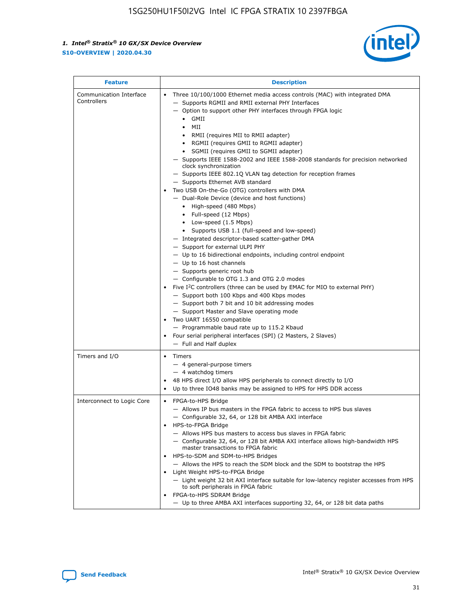

| <b>Feature</b>                         | <b>Description</b>                                                                                                                                                                                                                                                                                                                                                                                                                                                                                                                                                                                                                                                                                                                                                                                                                                                                                                                                                                                                                                                                                                                                                                                                                                                                                                                                                                                                                                                                                                        |  |
|----------------------------------------|---------------------------------------------------------------------------------------------------------------------------------------------------------------------------------------------------------------------------------------------------------------------------------------------------------------------------------------------------------------------------------------------------------------------------------------------------------------------------------------------------------------------------------------------------------------------------------------------------------------------------------------------------------------------------------------------------------------------------------------------------------------------------------------------------------------------------------------------------------------------------------------------------------------------------------------------------------------------------------------------------------------------------------------------------------------------------------------------------------------------------------------------------------------------------------------------------------------------------------------------------------------------------------------------------------------------------------------------------------------------------------------------------------------------------------------------------------------------------------------------------------------------------|--|
| Communication Interface<br>Controllers | Three 10/100/1000 Ethernet media access controls (MAC) with integrated DMA<br>$\bullet$<br>- Supports RGMII and RMII external PHY Interfaces<br>- Option to support other PHY interfaces through FPGA logic<br>GMII<br>$\bullet$<br>MII<br>$\bullet$<br>RMII (requires MII to RMII adapter)<br>$\bullet$<br>• RGMII (requires GMII to RGMII adapter)<br>SGMII (requires GMII to SGMII adapter)<br>- Supports IEEE 1588-2002 and IEEE 1588-2008 standards for precision networked<br>clock synchronization<br>- Supports IEEE 802.1Q VLAN tag detection for reception frames<br>- Supports Ethernet AVB standard<br>Two USB On-the-Go (OTG) controllers with DMA<br>- Dual-Role Device (device and host functions)<br>• High-speed (480 Mbps)<br>• Full-speed (12 Mbps)<br>• Low-speed (1.5 Mbps)<br>• Supports USB 1.1 (full-speed and low-speed)<br>- Integrated descriptor-based scatter-gather DMA<br>- Support for external ULPI PHY<br>- Up to 16 bidirectional endpoints, including control endpoint<br>$-$ Up to 16 host channels<br>- Supports generic root hub<br>- Configurable to OTG 1.3 and OTG 2.0 modes<br>Five $I2C$ controllers (three can be used by EMAC for MIO to external PHY)<br>- Support both 100 Kbps and 400 Kbps modes<br>- Support both 7 bit and 10 bit addressing modes<br>- Support Master and Slave operating mode<br>Two UART 16550 compatible<br>- Programmable baud rate up to 115.2 Kbaud<br>Four serial peripheral interfaces (SPI) (2 Masters, 2 Slaves)<br>- Full and Half duplex |  |
| Timers and I/O                         | • Timers<br>- 4 general-purpose timers<br>$-4$ watchdog timers<br>48 HPS direct I/O allow HPS peripherals to connect directly to I/O<br>Up to three IO48 banks may be assigned to HPS for HPS DDR access                                                                                                                                                                                                                                                                                                                                                                                                                                                                                                                                                                                                                                                                                                                                                                                                                                                                                                                                                                                                                                                                                                                                                                                                                                                                                                                  |  |
| Interconnect to Logic Core             | • FPGA-to-HPS Bridge<br>- Allows IP bus masters in the FPGA fabric to access to HPS bus slaves<br>- Configurable 32, 64, or 128 bit AMBA AXI interface<br>HPS-to-FPGA Bridge<br>- Allows HPS bus masters to access bus slaves in FPGA fabric<br>- Configurable 32, 64, or 128 bit AMBA AXI interface allows high-bandwidth HPS<br>master transactions to FPGA fabric<br>HPS-to-SDM and SDM-to-HPS Bridges<br>- Allows the HPS to reach the SDM block and the SDM to bootstrap the HPS<br>Light Weight HPS-to-FPGA Bridge<br>- Light weight 32 bit AXI interface suitable for low-latency register accesses from HPS<br>to soft peripherals in FPGA fabric<br>FPGA-to-HPS SDRAM Bridge<br>- Up to three AMBA AXI interfaces supporting 32, 64, or 128 bit data paths                                                                                                                                                                                                                                                                                                                                                                                                                                                                                                                                                                                                                                                                                                                                                       |  |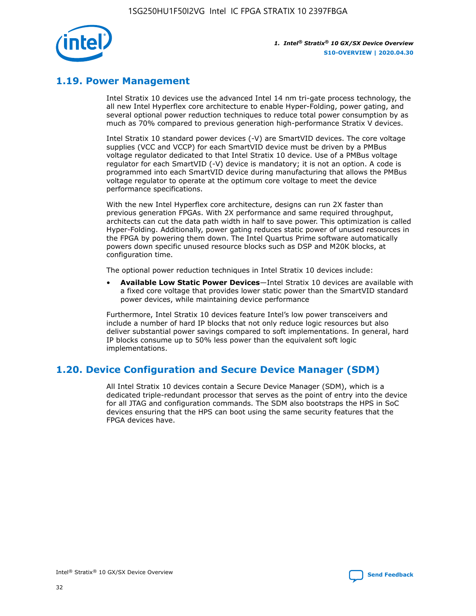

## **1.19. Power Management**

Intel Stratix 10 devices use the advanced Intel 14 nm tri-gate process technology, the all new Intel Hyperflex core architecture to enable Hyper-Folding, power gating, and several optional power reduction techniques to reduce total power consumption by as much as 70% compared to previous generation high-performance Stratix V devices.

Intel Stratix 10 standard power devices (-V) are SmartVID devices. The core voltage supplies (VCC and VCCP) for each SmartVID device must be driven by a PMBus voltage regulator dedicated to that Intel Stratix 10 device. Use of a PMBus voltage regulator for each SmartVID (-V) device is mandatory; it is not an option. A code is programmed into each SmartVID device during manufacturing that allows the PMBus voltage regulator to operate at the optimum core voltage to meet the device performance specifications.

With the new Intel Hyperflex core architecture, designs can run 2X faster than previous generation FPGAs. With 2X performance and same required throughput, architects can cut the data path width in half to save power. This optimization is called Hyper-Folding. Additionally, power gating reduces static power of unused resources in the FPGA by powering them down. The Intel Quartus Prime software automatically powers down specific unused resource blocks such as DSP and M20K blocks, at configuration time.

The optional power reduction techniques in Intel Stratix 10 devices include:

• **Available Low Static Power Devices**—Intel Stratix 10 devices are available with a fixed core voltage that provides lower static power than the SmartVID standard power devices, while maintaining device performance

Furthermore, Intel Stratix 10 devices feature Intel's low power transceivers and include a number of hard IP blocks that not only reduce logic resources but also deliver substantial power savings compared to soft implementations. In general, hard IP blocks consume up to 50% less power than the equivalent soft logic implementations.

## **1.20. Device Configuration and Secure Device Manager (SDM)**

All Intel Stratix 10 devices contain a Secure Device Manager (SDM), which is a dedicated triple-redundant processor that serves as the point of entry into the device for all JTAG and configuration commands. The SDM also bootstraps the HPS in SoC devices ensuring that the HPS can boot using the same security features that the FPGA devices have.

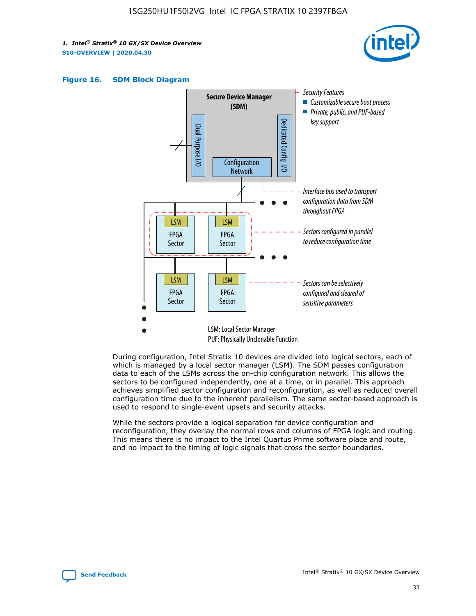





During configuration, Intel Stratix 10 devices are divided into logical sectors, each of which is managed by a local sector manager (LSM). The SDM passes configuration data to each of the LSMs across the on-chip configuration network. This allows the sectors to be configured independently, one at a time, or in parallel. This approach achieves simplified sector configuration and reconfiguration, as well as reduced overall configuration time due to the inherent parallelism. The same sector-based approach is used to respond to single-event upsets and security attacks.

While the sectors provide a logical separation for device configuration and reconfiguration, they overlay the normal rows and columns of FPGA logic and routing. This means there is no impact to the Intel Quartus Prime software place and route, and no impact to the timing of logic signals that cross the sector boundaries.

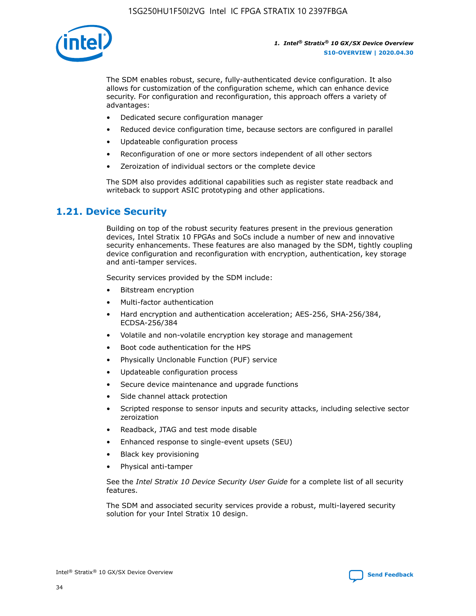

The SDM enables robust, secure, fully-authenticated device configuration. It also allows for customization of the configuration scheme, which can enhance device security. For configuration and reconfiguration, this approach offers a variety of advantages:

- Dedicated secure configuration manager
- Reduced device configuration time, because sectors are configured in parallel
- Updateable configuration process
- Reconfiguration of one or more sectors independent of all other sectors
- Zeroization of individual sectors or the complete device

The SDM also provides additional capabilities such as register state readback and writeback to support ASIC prototyping and other applications.

## **1.21. Device Security**

Building on top of the robust security features present in the previous generation devices, Intel Stratix 10 FPGAs and SoCs include a number of new and innovative security enhancements. These features are also managed by the SDM, tightly coupling device configuration and reconfiguration with encryption, authentication, key storage and anti-tamper services.

Security services provided by the SDM include:

- Bitstream encryption
- Multi-factor authentication
- Hard encryption and authentication acceleration; AES-256, SHA-256/384, ECDSA-256/384
- Volatile and non-volatile encryption key storage and management
- Boot code authentication for the HPS
- Physically Unclonable Function (PUF) service
- Updateable configuration process
- Secure device maintenance and upgrade functions
- Side channel attack protection
- Scripted response to sensor inputs and security attacks, including selective sector zeroization
- Readback, JTAG and test mode disable
- Enhanced response to single-event upsets (SEU)
- Black key provisioning
- Physical anti-tamper

See the *Intel Stratix 10 Device Security User Guide* for a complete list of all security features.

The SDM and associated security services provide a robust, multi-layered security solution for your Intel Stratix 10 design.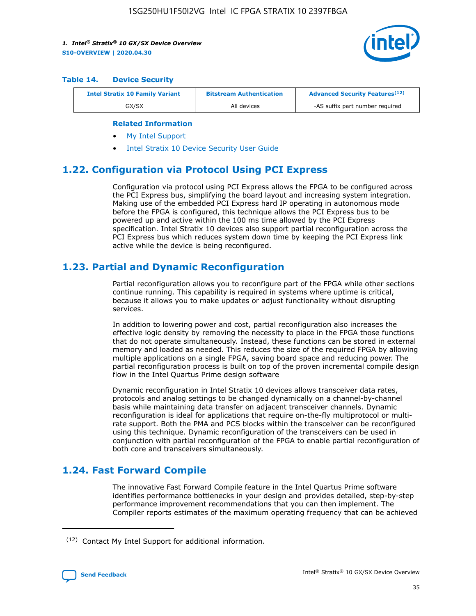

#### **Table 14. Device Security**

| <b>Intel Stratix 10 Family Variant</b> | <b>Bitstream Authentication</b> | <b>Advanced Security Features</b> <sup>(12)</sup> |  |
|----------------------------------------|---------------------------------|---------------------------------------------------|--|
| GX/SX                                  | All devices                     | -AS suffix part number required                   |  |

#### **Related Information**

- [My Intel Support](https://www.intel.com/content/www/us/en/programmable/my-intel/mal-home.html)
- [Intel Stratix 10 Device Security User Guide](https://www.intel.com/content/www/us/en/programmable/documentation/ndq1483601370898.html#wcd1483611014402)

## **1.22. Configuration via Protocol Using PCI Express**

Configuration via protocol using PCI Express allows the FPGA to be configured across the PCI Express bus, simplifying the board layout and increasing system integration. Making use of the embedded PCI Express hard IP operating in autonomous mode before the FPGA is configured, this technique allows the PCI Express bus to be powered up and active within the 100 ms time allowed by the PCI Express specification. Intel Stratix 10 devices also support partial reconfiguration across the PCI Express bus which reduces system down time by keeping the PCI Express link active while the device is being reconfigured.

## **1.23. Partial and Dynamic Reconfiguration**

Partial reconfiguration allows you to reconfigure part of the FPGA while other sections continue running. This capability is required in systems where uptime is critical, because it allows you to make updates or adjust functionality without disrupting services.

In addition to lowering power and cost, partial reconfiguration also increases the effective logic density by removing the necessity to place in the FPGA those functions that do not operate simultaneously. Instead, these functions can be stored in external memory and loaded as needed. This reduces the size of the required FPGA by allowing multiple applications on a single FPGA, saving board space and reducing power. The partial reconfiguration process is built on top of the proven incremental compile design flow in the Intel Quartus Prime design software

Dynamic reconfiguration in Intel Stratix 10 devices allows transceiver data rates, protocols and analog settings to be changed dynamically on a channel-by-channel basis while maintaining data transfer on adjacent transceiver channels. Dynamic reconfiguration is ideal for applications that require on-the-fly multiprotocol or multirate support. Both the PMA and PCS blocks within the transceiver can be reconfigured using this technique. Dynamic reconfiguration of the transceivers can be used in conjunction with partial reconfiguration of the FPGA to enable partial reconfiguration of both core and transceivers simultaneously.

## **1.24. Fast Forward Compile**

The innovative Fast Forward Compile feature in the Intel Quartus Prime software identifies performance bottlenecks in your design and provides detailed, step-by-step performance improvement recommendations that you can then implement. The Compiler reports estimates of the maximum operating frequency that can be achieved

<sup>(12)</sup> Contact My Intel Support for additional information.

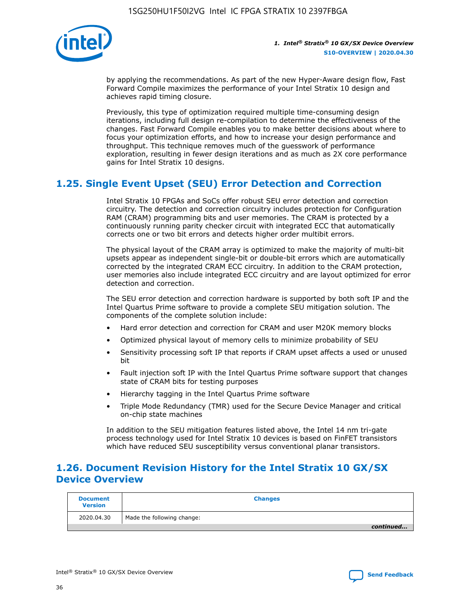

by applying the recommendations. As part of the new Hyper-Aware design flow, Fast Forward Compile maximizes the performance of your Intel Stratix 10 design and achieves rapid timing closure.

Previously, this type of optimization required multiple time-consuming design iterations, including full design re-compilation to determine the effectiveness of the changes. Fast Forward Compile enables you to make better decisions about where to focus your optimization efforts, and how to increase your design performance and throughput. This technique removes much of the guesswork of performance exploration, resulting in fewer design iterations and as much as 2X core performance gains for Intel Stratix 10 designs.

## **1.25. Single Event Upset (SEU) Error Detection and Correction**

Intel Stratix 10 FPGAs and SoCs offer robust SEU error detection and correction circuitry. The detection and correction circuitry includes protection for Configuration RAM (CRAM) programming bits and user memories. The CRAM is protected by a continuously running parity checker circuit with integrated ECC that automatically corrects one or two bit errors and detects higher order multibit errors.

The physical layout of the CRAM array is optimized to make the majority of multi-bit upsets appear as independent single-bit or double-bit errors which are automatically corrected by the integrated CRAM ECC circuitry. In addition to the CRAM protection, user memories also include integrated ECC circuitry and are layout optimized for error detection and correction.

The SEU error detection and correction hardware is supported by both soft IP and the Intel Quartus Prime software to provide a complete SEU mitigation solution. The components of the complete solution include:

- Hard error detection and correction for CRAM and user M20K memory blocks
- Optimized physical layout of memory cells to minimize probability of SEU
- Sensitivity processing soft IP that reports if CRAM upset affects a used or unused bit
- Fault injection soft IP with the Intel Quartus Prime software support that changes state of CRAM bits for testing purposes
- Hierarchy tagging in the Intel Quartus Prime software
- Triple Mode Redundancy (TMR) used for the Secure Device Manager and critical on-chip state machines

In addition to the SEU mitigation features listed above, the Intel 14 nm tri-gate process technology used for Intel Stratix 10 devices is based on FinFET transistors which have reduced SEU susceptibility versus conventional planar transistors.

## **1.26. Document Revision History for the Intel Stratix 10 GX/SX Device Overview**

| <b>Document</b><br><b>Version</b> | <b>Changes</b>             |
|-----------------------------------|----------------------------|
| 2020.04.30                        | Made the following change: |
|                                   | continued                  |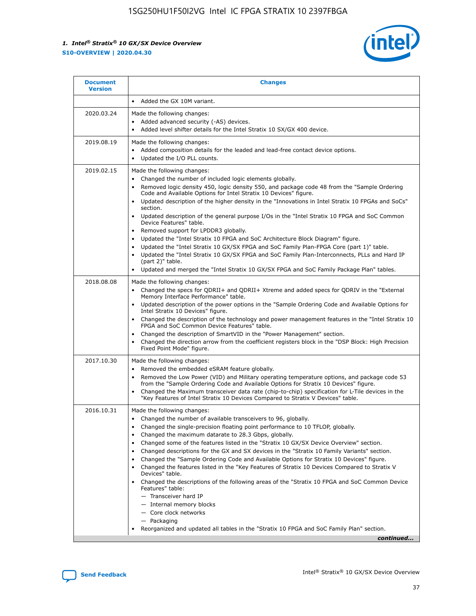

| <b>Document</b><br><b>Version</b> | <b>Changes</b>                                                                                                                                                                                                                                                                                                                                                                                                                                                                                                                                                                                                                                                                                                                                                                                                                                                                                                                                                                                              |
|-----------------------------------|-------------------------------------------------------------------------------------------------------------------------------------------------------------------------------------------------------------------------------------------------------------------------------------------------------------------------------------------------------------------------------------------------------------------------------------------------------------------------------------------------------------------------------------------------------------------------------------------------------------------------------------------------------------------------------------------------------------------------------------------------------------------------------------------------------------------------------------------------------------------------------------------------------------------------------------------------------------------------------------------------------------|
|                                   | Added the GX 10M variant.                                                                                                                                                                                                                                                                                                                                                                                                                                                                                                                                                                                                                                                                                                                                                                                                                                                                                                                                                                                   |
| 2020.03.24                        | Made the following changes:<br>Added advanced security (-AS) devices.<br>Added level shifter details for the Intel Stratix 10 SX/GX 400 device.                                                                                                                                                                                                                                                                                                                                                                                                                                                                                                                                                                                                                                                                                                                                                                                                                                                             |
| 2019.08.19                        | Made the following changes:<br>Added composition details for the leaded and lead-free contact device options.<br>$\bullet$<br>Updated the I/O PLL counts.                                                                                                                                                                                                                                                                                                                                                                                                                                                                                                                                                                                                                                                                                                                                                                                                                                                   |
| 2019.02.15                        | Made the following changes:<br>Changed the number of included logic elements globally.<br>$\bullet$<br>Removed logic density 450, logic density 550, and package code 48 from the "Sample Ordering<br>$\bullet$<br>Code and Available Options for Intel Stratix 10 Devices" figure.<br>Updated description of the higher density in the "Innovations in Intel Stratix 10 FPGAs and SoCs"<br>section.<br>Updated description of the general purpose I/Os in the "Intel Stratix 10 FPGA and SoC Common<br>$\bullet$<br>Device Features" table.<br>Removed support for LPDDR3 globally.<br>Updated the "Intel Stratix 10 FPGA and SoC Architecture Block Diagram" figure.<br>$\bullet$<br>Updated the "Intel Stratix 10 GX/SX FPGA and SoC Family Plan-FPGA Core (part 1)" table.<br>$\bullet$<br>Updated the "Intel Stratix 10 GX/SX FPGA and SoC Family Plan-Interconnects, PLLs and Hard IP<br>(part 2)" table.<br>Updated and merged the "Intel Stratix 10 GX/SX FPGA and SoC Family Package Plan" tables. |
| 2018.08.08                        | Made the following changes:<br>Changed the specs for QDRII+ and QDRII+ Xtreme and added specs for QDRIV in the "External<br>$\bullet$<br>Memory Interface Performance" table.<br>Updated description of the power options in the "Sample Ordering Code and Available Options for<br>Intel Stratix 10 Devices" figure.<br>Changed the description of the technology and power management features in the "Intel Stratix 10<br>FPGA and SoC Common Device Features" table.<br>Changed the description of SmartVID in the "Power Management" section.<br>Changed the direction arrow from the coefficient registers block in the "DSP Block: High Precision<br>$\bullet$<br>Fixed Point Mode" figure.                                                                                                                                                                                                                                                                                                          |
| 2017.10.30                        | Made the following changes:<br>Removed the embedded eSRAM feature globally.<br>$\bullet$<br>Removed the Low Power (VID) and Military operating temperature options, and package code 53<br>$\bullet$<br>from the "Sample Ordering Code and Available Options for Stratix 10 Devices" figure.<br>Changed the Maximum transceiver data rate (chip-to-chip) specification for L-Tile devices in the<br>"Key Features of Intel Stratix 10 Devices Compared to Stratix V Devices" table.                                                                                                                                                                                                                                                                                                                                                                                                                                                                                                                         |
| 2016.10.31                        | Made the following changes:<br>• Changed the number of available transceivers to 96, globally.<br>Changed the single-precision floating point performance to 10 TFLOP, globally.<br>Changed the maximum datarate to 28.3 Gbps, globally.<br>٠<br>Changed some of the features listed in the "Stratix 10 GX/SX Device Overview" section.<br>$\bullet$<br>Changed descriptions for the GX and SX devices in the "Stratix 10 Family Variants" section.<br>$\bullet$<br>Changed the "Sample Ordering Code and Available Options for Stratix 10 Devices" figure.<br>Changed the features listed in the "Key Features of Stratix 10 Devices Compared to Stratix V<br>Devices" table.<br>Changed the descriptions of the following areas of the "Stratix 10 FPGA and SoC Common Device<br>Features" table:<br>- Transceiver hard IP<br>- Internal memory blocks<br>- Core clock networks<br>- Packaging<br>Reorganized and updated all tables in the "Stratix 10 FPGA and SoC Family Plan" section.                |
|                                   | continued                                                                                                                                                                                                                                                                                                                                                                                                                                                                                                                                                                                                                                                                                                                                                                                                                                                                                                                                                                                                   |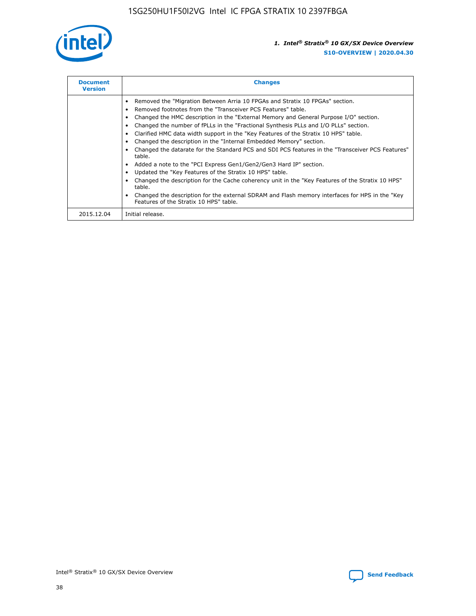

| <b>Document</b><br><b>Version</b> | <b>Changes</b>                                                                                                                                                                                                                                                                                                                                                                                                                                                                                                                                                                                                                                                                                                                                                                                                                                                                                                                                                                                     |
|-----------------------------------|----------------------------------------------------------------------------------------------------------------------------------------------------------------------------------------------------------------------------------------------------------------------------------------------------------------------------------------------------------------------------------------------------------------------------------------------------------------------------------------------------------------------------------------------------------------------------------------------------------------------------------------------------------------------------------------------------------------------------------------------------------------------------------------------------------------------------------------------------------------------------------------------------------------------------------------------------------------------------------------------------|
|                                   | Removed the "Migration Between Arria 10 FPGAs and Stratix 10 FPGAs" section.<br>Removed footnotes from the "Transceiver PCS Features" table.<br>Changed the HMC description in the "External Memory and General Purpose I/O" section.<br>Changed the number of fPLLs in the "Fractional Synthesis PLLs and I/O PLLs" section.<br>Clarified HMC data width support in the "Key Features of the Stratix 10 HPS" table.<br>Changed the description in the "Internal Embedded Memory" section.<br>Changed the datarate for the Standard PCS and SDI PCS features in the "Transceiver PCS Features"<br>table.<br>Added a note to the "PCI Express Gen1/Gen2/Gen3 Hard IP" section.<br>Updated the "Key Features of the Stratix 10 HPS" table.<br>Changed the description for the Cache coherency unit in the "Key Features of the Stratix 10 HPS"<br>table.<br>Changed the description for the external SDRAM and Flash memory interfaces for HPS in the "Key<br>Features of the Stratix 10 HPS" table. |
| 2015.12.04                        | Initial release.                                                                                                                                                                                                                                                                                                                                                                                                                                                                                                                                                                                                                                                                                                                                                                                                                                                                                                                                                                                   |